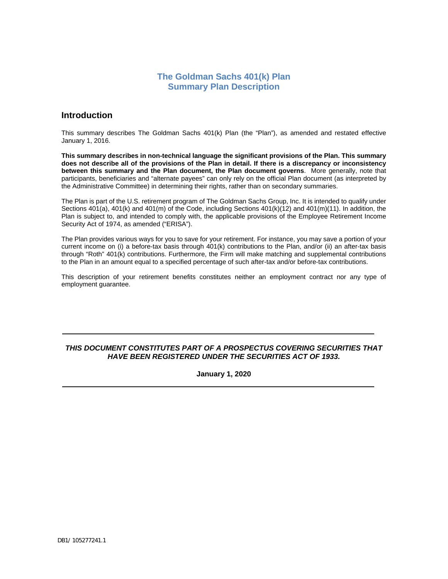# **The Goldman Sachs 401(k) Plan Summary Plan Description**

# **Introduction**

This summary describes The Goldman Sachs 401(k) Plan (the "Plan"), as amended and restated effective January 1, 2016.

**This summary describes in non-technical language the significant provisions of the Plan. This summary does not describe all of the provisions of the Plan in detail. If there is a discrepancy or inconsistency between this summary and the Plan document, the Plan document governs**. More generally, note that participants, beneficiaries and "alternate payees" can only rely on the official Plan document (as interpreted by the Administrative Committee) in determining their rights, rather than on secondary summaries.

The Plan is part of the U.S. retirement program of The Goldman Sachs Group, Inc. It is intended to qualify under Sections 401(a), 401(k) and 401(m) of the Code, including Sections 401(k)(12) and 401(m)(11). In addition, the Plan is subject to, and intended to comply with, the applicable provisions of the Employee Retirement Income Security Act of 1974, as amended ("ERISA").

The Plan provides various ways for you to save for your retirement. For instance, you may save a portion of your current income on (i) a before-tax basis through 401(k) contributions to the Plan, and/or (ii) an after-tax basis through "Roth" 401(k) contributions. Furthermore, the Firm will make matching and supplemental contributions to the Plan in an amount equal to a specified percentage of such after-tax and/or before-tax contributions.

This description of your retirement benefits constitutes neither an employment contract nor any type of employment guarantee.

## *THIS DOCUMENT CONSTITUTES PART OF A PROSPECTUS COVERING SECURITIES THAT HAVE BEEN REGISTERED UNDER THE SECURITIES ACT OF 1933.*

**January 1, 2020**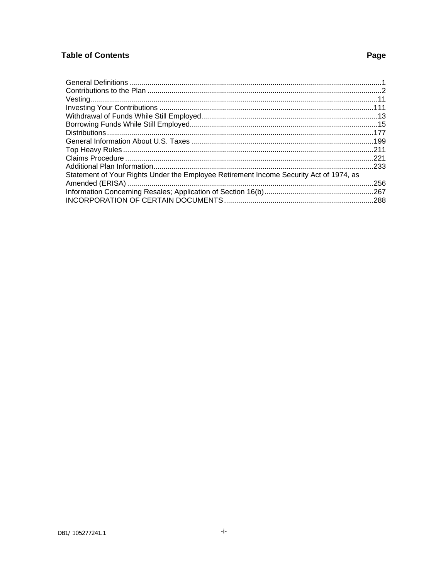# **Table of Contents**

# Page

| Statement of Your Rights Under the Employee Retirement Income Security Act of 1974, as |  |
|----------------------------------------------------------------------------------------|--|
|                                                                                        |  |
|                                                                                        |  |
|                                                                                        |  |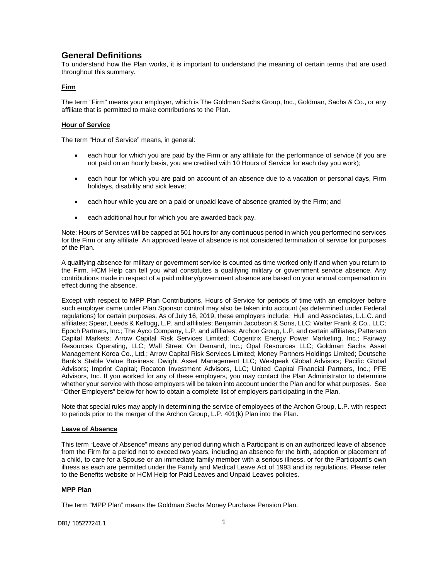# <span id="page-2-0"></span>**General Definitions**

To understand how the Plan works, it is important to understand the meaning of certain terms that are used throughout this summary.

## **Firm**

The term "Firm" means your employer, which is The Goldman Sachs Group, Inc., Goldman, Sachs & Co., or any affiliate that is permitted to make contributions to the Plan.

## **Hour of Service**

The term "Hour of Service" means, in general:

- each hour for which you are paid by the Firm or any affiliate for the performance of service (if you are not paid on an hourly basis, you are credited with 10 Hours of Service for each day you work);
- each hour for which you are paid on account of an absence due to a vacation or personal days, Firm holidays, disability and sick leave;
- each hour while you are on a paid or unpaid leave of absence granted by the Firm; and
- each additional hour for which you are awarded back pay.

Note: Hours of Services will be capped at 501 hours for any continuous period in which you performed no services for the Firm or any affiliate. An approved leave of absence is not considered termination of service for purposes of the Plan.

A qualifying absence for military or government service is counted as time worked only if and when you return to the Firm. HCM Help can tell you what constitutes a qualifying military or government service absence. Any contributions made in respect of a paid military/government absence are based on your annual compensation in effect during the absence.

Except with respect to MPP Plan Contributions, Hours of Service for periods of time with an employer before such employer came under Plan Sponsor control may also be taken into account (as determined under Federal regulations) for certain purposes. As of July 16, 2019, these employers include: Hull and Associates, L.L.C. and affiliates; Spear, Leeds & Kellogg, L.P. and affiliates; Benjamin Jacobson & Sons, LLC; Walter Frank & Co., LLC; Epoch Partners, Inc.; The Ayco Company, L.P. and affiliates; Archon Group, L.P. and certain affiliates; Patterson Capital Markets; Arrow Capital Risk Services Limited; Cogentrix Energy Power Marketing, Inc.; Fairway Resources Operating, LLC; Wall Street On Demand, Inc.; Opal Resources LLC; Goldman Sachs Asset Management Korea Co., Ltd.; Arrow Capital Risk Services Limited; Money Partners Holdings Limited; Deutsche Bank's Stable Value Business; Dwight Asset Management LLC; Westpeak Global Advisors; Pacific Global Advisors; Imprint Capital; Rocaton Investment Advisors, LLC; United Capital Financial Partners, Inc.; PFE Advisors, Inc. If you worked for any of these employers, you may contact the Plan Administrator to determine whether your service with those employers will be taken into account under the Plan and for what purposes. See "Other Employers" below for how to obtain a complete list of employers participating in the Plan.

Note that special rules may apply in determining the service of employees of the Archon Group, L.P. with respect to periods prior to the merger of the Archon Group, L.P. 401(k) Plan into the Plan.

## **Leave of Absence**

This term "Leave of Absence" means any period during which a Participant is on an authorized leave of absence from the Firm for a period not to exceed two years, including an absence for the birth, adoption or placement of a child, to care for a Spouse or an immediate family member with a serious illness, or for the Participant's own illness as each are permitted under the Family and Medical Leave Act of 1993 and its regulations. Please refer to the Benefits website or HCM Help for Paid Leaves and Unpaid Leaves policies.

## **MPP Plan**

The term "MPP Plan" means the Goldman Sachs Money Purchase Pension Plan.

DB1/ 105277241.1 2000 12000 12000 12000 12000 12000 12000 12000 12000 12000 12000 12000 12000 12000 12000 1200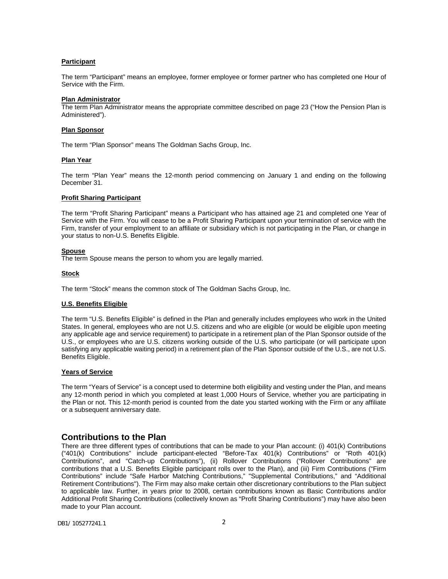## **Participant**

The term "Participant" means an employee, former employee or former partner who has completed one Hour of Service with the Firm.

#### **Plan Administrator**

The term Plan Administrator means the appropriate committee described on page 23 ("How the Pension Plan is Administered").

#### **Plan Sponsor**

The term "Plan Sponsor" means The Goldman Sachs Group, Inc.

## **Plan Year**

The term "Plan Year" means the 12-month period commencing on January 1 and ending on the following December 31.

#### **Profit Sharing Participant**

The term "Profit Sharing Participant" means a Participant who has attained age 21 and completed one Year of Service with the Firm. You will cease to be a Profit Sharing Participant upon your termination of service with the Firm, transfer of your employment to an affiliate or subsidiary which is not participating in the Plan, or change in your status to non-U.S. Benefits Eligible.

## **Spouse**

The term Spouse means the person to whom you are legally married.

## **Stock**

The term "Stock" means the common stock of The Goldman Sachs Group, Inc.

## **U.S. Benefits Eligible**

The term "U.S. Benefits Eligible" is defined in the Plan and generally includes employees who work in the United States. In general, employees who are not U.S. citizens and who are eligible (or would be eligible upon meeting any applicable age and service requirement) to participate in a retirement plan of the Plan Sponsor outside of the U.S., or employees who are U.S. citizens working outside of the U.S. who participate (or will participate upon satisfying any applicable waiting period) in a retirement plan of the Plan Sponsor outside of the U.S., are not U.S. Benefits Eligible.

## **Years of Service**

The term "Years of Service" is a concept used to determine both eligibility and vesting under the Plan, and means any 12-month period in which you completed at least 1,000 Hours of Service, whether you are participating in the Plan or not. This 12-month period is counted from the date you started working with the Firm or any affiliate or a subsequent anniversary date.

## <span id="page-3-0"></span>**Contributions to the Plan**

There are three different types of contributions that can be made to your Plan account: (i) 401(k) Contributions ("401(k) Contributions" include participant-elected "Before-Tax 401(k) Contributions" or "Roth 401(k) Contributions", and "Catch-up Contributions"), (ii) Rollover Contributions ("Rollover Contributions" are contributions that a U.S. Benefits Eligible participant rolls over to the Plan), and (iii) Firm Contributions ("Firm Contributions" include "Safe Harbor Matching Contributions," "Supplemental Contributions," and "Additional Retirement Contributions"). The Firm may also make certain other discretionary contributions to the Plan subject to applicable law. Further, in years prior to 2008, certain contributions known as Basic Contributions and/or Additional Profit Sharing Contributions (collectively known as "Profit Sharing Contributions") may have also been made to your Plan account.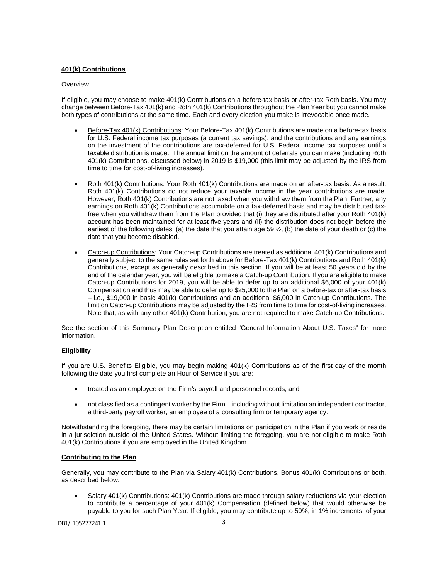## **401(k) Contributions**

## **Overview**

If eligible, you may choose to make 401(k) Contributions on a before-tax basis or after-tax Roth basis. You may change between Before-Tax 401(k) and Roth 401(k) Contributions throughout the Plan Year but you cannot make both types of contributions at the same time. Each and every election you make is irrevocable once made.

- Before-Tax 401(k) Contributions: Your Before-Tax 401(k) Contributions are made on a before-tax basis for U.S. Federal income tax purposes (a current tax savings), and the contributions and any earnings on the investment of the contributions are tax-deferred for U.S. Federal income tax purposes until a taxable distribution is made. The annual limit on the amount of deferrals you can make (including Roth 401(k) Contributions, discussed below) in 2019 is \$19,000 (this limit may be adjusted by the IRS from time to time for cost-of-living increases).
- Roth 401(k) Contributions: Your Roth 401(k) Contributions are made on an after-tax basis. As a result, Roth 401(k) Contributions do not reduce your taxable income in the year contributions are made. However, Roth 401(k) Contributions are not taxed when you withdraw them from the Plan. Further, any earnings on Roth 401(k) Contributions accumulate on a tax-deferred basis and may be distributed taxfree when you withdraw them from the Plan provided that (i) they are distributed after your Roth 401(k) account has been maintained for at least five years and (ii) the distribution does not begin before the earliest of the following dates: (a) the date that you attain age 59  $\frac{1}{2}$ , (b) the date of your death or (c) the date that you become disabled.
- Catch-up Contributions: Your Catch-up Contributions are treated as additional 401(k) Contributions and generally subject to the same rules set forth above for Before-Tax 401(k) Contributions and Roth 401(k) Contributions, except as generally described in this section. If you will be at least 50 years old by the end of the calendar year, you will be eligible to make a Catch-up Contribution. If you are eligible to make Catch-up Contributions for 2019, you will be able to defer up to an additional \$6,000 of your 401(k) Compensation and thus may be able to defer up to \$25,000 to the Plan on a before-tax or after-tax basis – i.e., \$19,000 in basic 401(k) Contributions and an additional \$6,000 in Catch-up Contributions. The limit on Catch-up Contributions may be adjusted by the IRS from time to time for cost-of-living increases. Note that, as with any other 401(k) Contribution, you are not required to make Catch-up Contributions.

See the section of this Summary Plan Description entitled "General Information About U.S. Taxes" for more information.

## **Eligibility**

If you are U.S. Benefits Eligible, you may begin making 401(k) Contributions as of the first day of the month following the date you first complete an Hour of Service if you are:

- treated as an employee on the Firm's payroll and personnel records, and
- not classified as a contingent worker by the Firm including without limitation an independent contractor, a third-party payroll worker, an employee of a consulting firm or temporary agency.

Notwithstanding the foregoing, there may be certain limitations on participation in the Plan if you work or reside in a jurisdiction outside of the United States. Without limiting the foregoing, you are not eligible to make Roth 401(k) Contributions if you are employed in the United Kingdom.

## **Contributing to the Plan**

Generally, you may contribute to the Plan via Salary 401(k) Contributions, Bonus 401(k) Contributions or both, as described below.

• Salary 401(k) Contributions: 401(k) Contributions are made through salary reductions via your election to contribute a percentage of your 401(k) Compensation (defined below) that would otherwise be payable to you for such Plan Year. If eligible, you may contribute up to 50%, in 1% increments, of your

DB1/ 105277241.1 3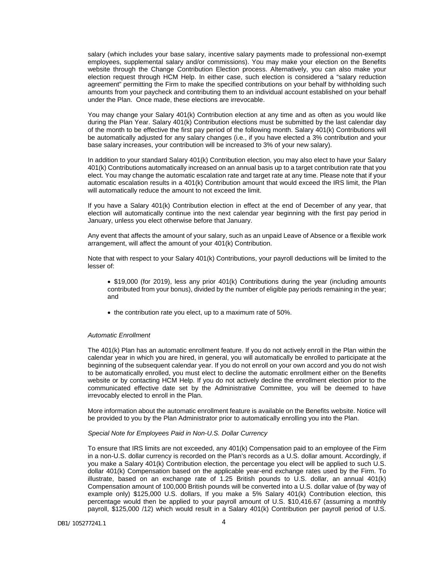salary (which includes your base salary, incentive salary payments made to professional non-exempt employees, supplemental salary and/or commissions). You may make your election on the Benefits website through the Change Contribution Election process. Alternatively, you can also make your election request through HCM Help. In either case, such election is considered a "salary reduction agreement" permitting the Firm to make the specified contributions on your behalf by withholding such amounts from your paycheck and contributing them to an individual account established on your behalf under the Plan. Once made, these elections are irrevocable.

You may change your Salary 401(k) Contribution election at any time and as often as you would like during the Plan Year. Salary 401(k) Contribution elections must be submitted by the last calendar day of the month to be effective the first pay period of the following month. Salary 401(k) Contributions will be automatically adjusted for any salary changes (i.e., if you have elected a 3% contribution and your base salary increases, your contribution will be increased to 3% of your new salary).

In addition to your standard Salary 401(k) Contribution election, you may also elect to have your Salary 401(k) Contributions automatically increased on an annual basis up to a target contribution rate that you elect. You may change the automatic escalation rate and target rate at any time. Please note that if your automatic escalation results in a 401(k) Contribution amount that would exceed the IRS limit, the Plan will automatically reduce the amount to not exceed the limit.

If you have a Salary 401(k) Contribution election in effect at the end of December of any year, that election will automatically continue into the next calendar year beginning with the first pay period in January, unless you elect otherwise before that January.

Any event that affects the amount of your salary, such as an unpaid Leave of Absence or a flexible work arrangement, will affect the amount of your 401(k) Contribution.

Note that with respect to your Salary 401(k) Contributions, your payroll deductions will be limited to the lesser of:

- \$19,000 (for 2019), less any prior 401(k) Contributions during the year (including amounts contributed from your bonus), divided by the number of eligible pay periods remaining in the year; and
- the contribution rate you elect, up to a maximum rate of 50%.

#### *Automatic Enrollment*

The 401(k) Plan has an automatic enrollment feature. If you do not actively enroll in the Plan within the calendar year in which you are hired, in general, you will automatically be enrolled to participate at the beginning of the subsequent calendar year. If you do not enroll on your own accord and you do not wish to be automatically enrolled, you must elect to decline the automatic enrollment either on the Benefits website or by contacting HCM Help. If you do not actively decline the enrollment election prior to the communicated effective date set by the Administrative Committee, you will be deemed to have irrevocably elected to enroll in the Plan.

More information about the automatic enrollment feature is available on the Benefits website. Notice will be provided to you by the Plan Administrator prior to automatically enrolling you into the Plan.

#### *Special Note for Employees Paid in Non-U.S. Dollar Currency*

To ensure that IRS limits are not exceeded, any 401(k) Compensation paid to an employee of the Firm in a non-U.S. dollar currency is recorded on the Plan's records as a U.S. dollar amount. Accordingly, if you make a Salary 401(k) Contribution election, the percentage you elect will be applied to such U.S. dollar 401(k) Compensation based on the applicable year-end exchange rates used by the Firm. To illustrate, based on an exchange rate of 1.25 British pounds to U.S. dollar, an annual 401(k) Compensation amount of 100,000 British pounds will be converted into a U.S. dollar value of (by way of example only) \$125,000 U.S. dollars, If you make a 5% Salary 401(k) Contribution election, this percentage would then be applied to your payroll amount of U.S. \$10,416.67 (assuming a monthly payroll, \$125,000 /12) which would result in a Salary 401(k) Contribution per payroll period of U.S.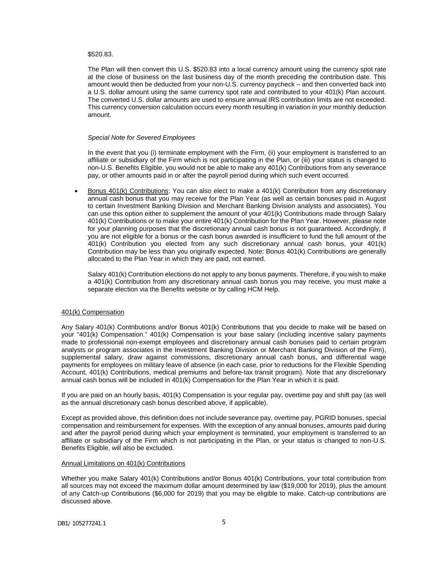#### \$520.83.

The Plan will then convert this U.S. \$520.83 into a local currency amount using the currency spot rate at the close of business on the last business day of the month preceding the contribution date. This amount would then be deducted from your non-U.S. currency paycheck – and then converted back into a U.S. dollar amount using the same currency spot rate and contributed to your 401(k) Plan account. The converted U.S. dollar amounts are used to ensure annual IRS contribution limits are not exceeded. This currency conversion calculation occurs every month resulting in variation in your monthly deduction amount.

#### *Special Note for Severed Employees*

In the event that you (i) terminate employment with the Firm, (ii) your employment is transferred to an affiliate or subsidiary of the Firm which is not participating in the Plan, or (iii) your status is changed to non-U.S. Benefits Eligible, you would not be able to make any 401(k) Contributions from any severance pay, or other amounts paid in or after the payroll period during which such event occurred.

• Bonus 401(k) Contributions: You can also elect to make a 401(k) Contribution from any discretionary annual cash bonus that you may receive for the Plan Year (as well as certain bonuses paid in August to certain Investment Banking Division and Merchant Banking Division analysts and associates). You can use this option either to supplement the amount of your 401(k) Contributions made through Salary 401(k) Contributions or to make your entire 401(k) Contribution for the Plan Year. However, please note for your planning purposes that the discretionary annual cash bonus is not guaranteed. Accordingly, if you are not eligible for a bonus or the cash bonus awarded is insufficient to fund the full amount of the 401(k) Contribution you elected from any such discretionary annual cash bonus, your 401(k) Contribution may be less than you originally expected. Note: Bonus 401(k) Contributions are generally allocated to the Plan Year in which they are paid, not earned.

Salary 401(k) Contribution elections do not apply to any bonus payments. Therefore, if you wish to make a 401(k) Contribution from any discretionary annual cash bonus you may receive, you must make a separate election via the Benefits website or by calling HCM Help.

#### 401(k) Compensation

Any Salary 401(k) Contributions and/or Bonus 401(k) Contributions that you decide to make will be based on your "401(k) Compensation." 401(k) Compensation is your base salary (including incentive salary payments made to professional non-exempt employees and discretionary annual cash bonuses paid to certain program analysts or program associates in the Investment Banking Division or Merchant Banking Division of the Firm), supplemental salary, draw against commissions, discretionary annual cash bonus, and differential wage payments for employees on military leave of absence (in each case, prior to reductions for the Flexible Spending Account, 401(k) Contributions, medical premiums and before-tax transit program). Note that any discretionary annual cash bonus will be included in 401(k) Compensation for the Plan Year in which it is paid.

If you are paid on an hourly basis, 401(k) Compensation is your regular pay, overtime pay and shift pay (as well as the annual discretionary cash bonus described above, if applicable).

Except as provided above, this definition does not include severance pay, overtime pay, PGRID bonuses, special compensation and reimbursement for expenses. With the exception of any annual bonuses, amounts paid during and after the payroll period during which your employment is terminated, your employment is transferred to an affiliate or subsidiary of the Firm which is not participating in the Plan, or your status is changed to non-U.S. Benefits Eligible, will also be excluded.

#### Annual Limitations on 401(k) Contributions

Whether you make Salary 401(k) Contributions and/or Bonus 401(k) Contributions, your total contribution from all sources may not exceed the maximum dollar amount determined by law (\$19,000 for 2019), plus the amount of any Catch-up Contributions (\$6,000 for 2019) that you may be eligible to make. Catch-up contributions are discussed above.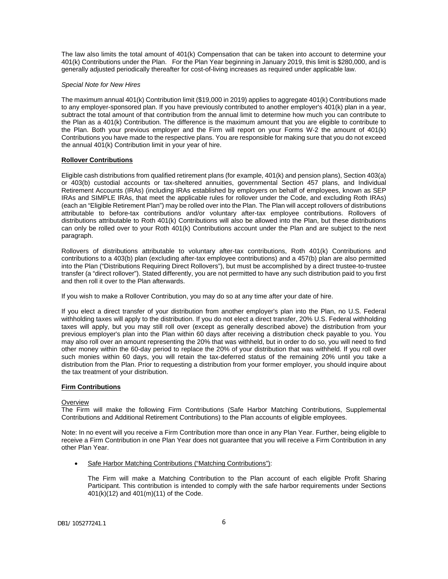The law also limits the total amount of 401(k) Compensation that can be taken into account to determine your 401(k) Contributions under the Plan. For the Plan Year beginning in January 2019, this limit is \$280,000, and is generally adjusted periodically thereafter for cost-of-living increases as required under applicable law.

## *Special Note for New Hires*

The maximum annual 401(k) Contribution limit (\$19,000 in 2019) applies to aggregate 401(k) Contributions made to any employer-sponsored plan. If you have previously contributed to another employer's 401(k) plan in a year, subtract the total amount of that contribution from the annual limit to determine how much you can contribute to the Plan as a 401(k) Contribution. The difference is the maximum amount that you are eligible to contribute to the Plan. Both your previous employer and the Firm will report on your Forms W-2 the amount of 401(k) Contributions you have made to the respective plans. You are responsible for making sure that you do not exceed the annual 401(k) Contribution limit in your year of hire.

## **Rollover Contributions**

Eligible cash distributions from qualified retirement plans (for example, 401(k) and pension plans), Section 403(a) or 403(b) custodial accounts or tax-sheltered annuities, governmental Section 457 plans, and Individual Retirement Accounts (IRAs) (including IRAs established by employers on behalf of employees, known as SEP IRAs and SIMPLE IRAs, that meet the applicable rules for rollover under the Code, and excluding Roth IRAs) (each an "Eligible Retirement Plan") may be rolled over into the Plan. The Plan will accept rollovers of distributions attributable to before-tax contributions and/or voluntary after-tax employee contributions. Rollovers of distributions attributable to Roth 401(k) Contributions will also be allowed into the Plan, but these distributions can only be rolled over to your Roth 401(k) Contributions account under the Plan and are subject to the next paragraph.

Rollovers of distributions attributable to voluntary after-tax contributions, Roth 401(k) Contributions and contributions to a 403(b) plan (excluding after-tax employee contributions) and a 457(b) plan are also permitted into the Plan ("Distributions Requiring Direct Rollovers"), but must be accomplished by a direct trustee-to-trustee transfer (a "direct rollover"). Stated differently, you are not permitted to have any such distribution paid to you first and then roll it over to the Plan afterwards.

If you wish to make a Rollover Contribution, you may do so at any time after your date of hire.

If you elect a direct transfer of your distribution from another employer's plan into the Plan, no U.S. Federal withholding taxes will apply to the distribution. If you do not elect a direct transfer, 20% U.S. Federal withholding taxes will apply, but you may still roll over (except as generally described above) the distribution from your previous employer's plan into the Plan within 60 days after receiving a distribution check payable to you. You may also roll over an amount representing the 20% that was withheld, but in order to do so, you will need to find other money within the 60-day period to replace the 20% of your distribution that was withheld. If you roll over such monies within 60 days, you will retain the tax-deferred status of the remaining 20% until you take a distribution from the Plan. Prior to requesting a distribution from your former employer, you should inquire about the tax treatment of your distribution.

## **Firm Contributions**

## **Overview**

The Firm will make the following Firm Contributions (Safe Harbor Matching Contributions, Supplemental Contributions and Additional Retirement Contributions) to the Plan accounts of eligible employees.

Note: In no event will you receive a Firm Contribution more than once in any Plan Year. Further, being eligible to receive a Firm Contribution in one Plan Year does not guarantee that you will receive a Firm Contribution in any other Plan Year.

• Safe Harbor Matching Contributions ("Matching Contributions"):

The Firm will make a Matching Contribution to the Plan account of each eligible Profit Sharing Participant. This contribution is intended to comply with the safe harbor requirements under Sections 401(k)(12) and 401(m)(11) of the Code.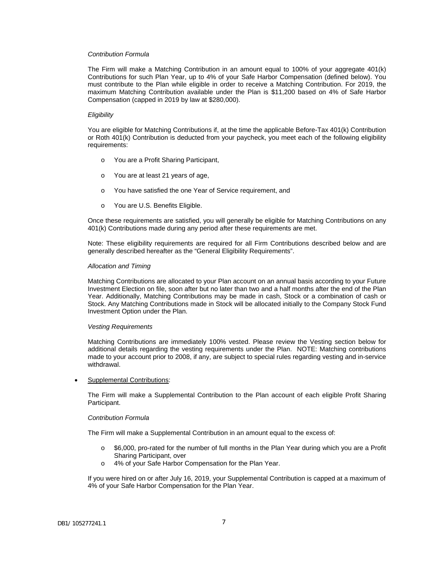## *Contribution Formula*

The Firm will make a Matching Contribution in an amount equal to 100% of your aggregate 401(k) Contributions for such Plan Year, up to 4% of your Safe Harbor Compensation (defined below). You must contribute to the Plan while eligible in order to receive a Matching Contribution. For 2019, the maximum Matching Contribution available under the Plan is \$11,200 based on 4% of Safe Harbor Compensation (capped in 2019 by law at \$280,000).

#### *Eligibility*

You are eligible for Matching Contributions if, at the time the applicable Before-Tax 401(k) Contribution or Roth 401(k) Contribution is deducted from your paycheck, you meet each of the following eligibility requirements:

- o You are a Profit Sharing Participant,
- o You are at least 21 years of age,
- o You have satisfied the one Year of Service requirement, and
- o You are U.S. Benefits Eligible.

Once these requirements are satisfied, you will generally be eligible for Matching Contributions on any 401(k) Contributions made during any period after these requirements are met.

Note: These eligibility requirements are required for all Firm Contributions described below and are generally described hereafter as the "General Eligibility Requirements".

#### *Allocation and Timing*

Matching Contributions are allocated to your Plan account on an annual basis according to your Future Investment Election on file, soon after but no later than two and a half months after the end of the Plan Year. Additionally, Matching Contributions may be made in cash, Stock or a combination of cash or Stock. Any Matching Contributions made in Stock will be allocated initially to the Company Stock Fund Investment Option under the Plan.

#### *Vesting Requirements*

Matching Contributions are immediately 100% vested. Please review the Vesting section below for additional details regarding the vesting requirements under the Plan. NOTE: Matching contributions made to your account prior to 2008, if any, are subject to special rules regarding vesting and in-service withdrawal.

• Supplemental Contributions:

The Firm will make a Supplemental Contribution to the Plan account of each eligible Profit Sharing Participant.

#### *Contribution Formula*

The Firm will make a Supplemental Contribution in an amount equal to the excess of:

- $\circ$  \$6,000, pro-rated for the number of full months in the Plan Year during which you are a Profit Sharing Participant, over
- o 4% of your Safe Harbor Compensation for the Plan Year.

If you were hired on or after July 16, 2019, your Supplemental Contribution is capped at a maximum of 4% of your Safe Harbor Compensation for the Plan Year.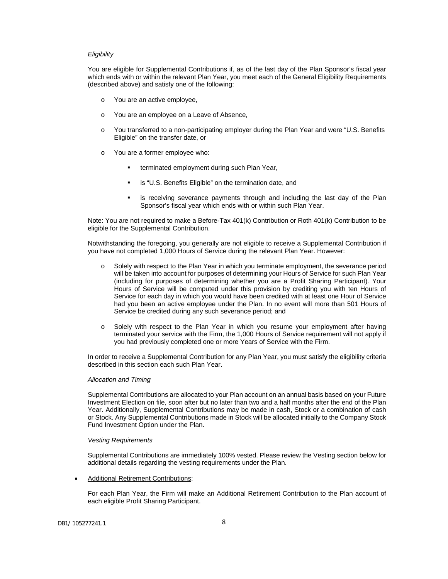#### *Eligibility*

You are eligible for Supplemental Contributions if, as of the last day of the Plan Sponsor's fiscal year which ends with or within the relevant Plan Year, you meet each of the General Eligibility Requirements (described above) and satisfy one of the following:

- o You are an active employee,
- o You are an employee on a Leave of Absence,
- o You transferred to a non-participating employer during the Plan Year and were "U.S. Benefits Eligible" on the transfer date, or
- o You are a former employee who:
	- terminated employment during such Plan Year,
	- is "U.S. Benefits Eligible" on the termination date, and
	- **EXE** is receiving severance payments through and including the last day of the Plan Sponsor's fiscal year which ends with or within such Plan Year.

Note: You are not required to make a Before-Tax 401(k) Contribution or Roth 401(k) Contribution to be eligible for the Supplemental Contribution.

Notwithstanding the foregoing, you generally are not eligible to receive a Supplemental Contribution if you have not completed 1,000 Hours of Service during the relevant Plan Year. However:

- o Solely with respect to the Plan Year in which you terminate employment, the severance period will be taken into account for purposes of determining your Hours of Service for such Plan Year (including for purposes of determining whether you are a Profit Sharing Participant). Your Hours of Service will be computed under this provision by crediting you with ten Hours of Service for each day in which you would have been credited with at least one Hour of Service had you been an active employee under the Plan. In no event will more than 501 Hours of Service be credited during any such severance period; and
- o Solely with respect to the Plan Year in which you resume your employment after having terminated your service with the Firm, the 1,000 Hours of Service requirement will not apply if you had previously completed one or more Years of Service with the Firm.

In order to receive a Supplemental Contribution for any Plan Year, you must satisfy the eligibility criteria described in this section each such Plan Year.

#### *Allocation and Timing*

Supplemental Contributions are allocated to your Plan account on an annual basis based on your Future Investment Election on file, soon after but no later than two and a half months after the end of the Plan Year. Additionally, Supplemental Contributions may be made in cash, Stock or a combination of cash or Stock. Any Supplemental Contributions made in Stock will be allocated initially to the Company Stock Fund Investment Option under the Plan.

#### *Vesting Requirements*

Supplemental Contributions are immediately 100% vested. Please review the Vesting section below for additional details regarding the vesting requirements under the Plan.

• Additional Retirement Contributions:

For each Plan Year, the Firm will make an Additional Retirement Contribution to the Plan account of each eligible Profit Sharing Participant.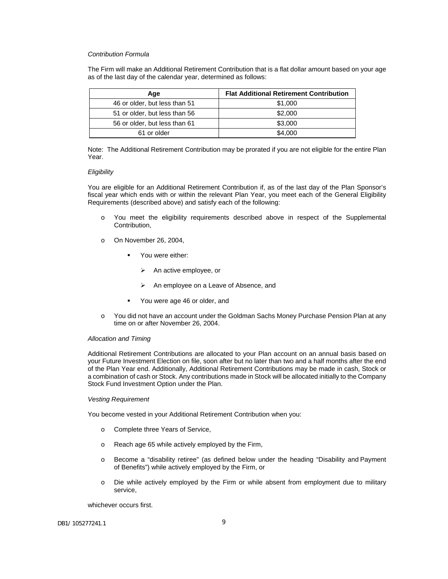## *Contribution Formula*

The Firm will make an Additional Retirement Contribution that is a flat dollar amount based on your age as of the last day of the calendar year, determined as follows:

| Age                           | <b>Flat Additional Retirement Contribution</b> |
|-------------------------------|------------------------------------------------|
| 46 or older, but less than 51 | \$1,000                                        |
| 51 or older, but less than 56 | \$2,000                                        |
| 56 or older, but less than 61 | \$3,000                                        |
| 61 or older                   | \$4,000                                        |

Note: The Additional Retirement Contribution may be prorated if you are not eligible for the entire Plan Year.

#### *Eligibility*

You are eligible for an Additional Retirement Contribution if, as of the last day of the Plan Sponsor's fiscal year which ends with or within the relevant Plan Year, you meet each of the General Eligibility Requirements (described above) and satisfy each of the following:

- o You meet the eligibility requirements described above in respect of the Supplemental Contribution,
- o On November 26, 2004,
	- **•** You were either:
		- $\triangleright$  An active employee, or
		- An employee on a Leave of Absence, and
	- You were age 46 or older, and
- o You did not have an account under the Goldman Sachs Money Purchase Pension Plan at any time on or after November 26, 2004.

#### *Allocation and Timing*

Additional Retirement Contributions are allocated to your Plan account on an annual basis based on your Future Investment Election on file, soon after but no later than two and a half months after the end of the Plan Year end. Additionally, Additional Retirement Contributions may be made in cash, Stock or a combination of cash or Stock. Any contributions made in Stock will be allocated initially to the Company Stock Fund Investment Option under the Plan.

#### *Vesting Requirement*

You become vested in your Additional Retirement Contribution when you:

- o Complete three Years of Service,
- o Reach age 65 while actively employed by the Firm,
- o Become a "disability retiree" (as defined below under the heading "Disability and Payment of Benefits") while actively employed by the Firm, or
- o Die while actively employed by the Firm or while absent from employment due to military service,

whichever occurs first.

DB1/ 105277241.1 9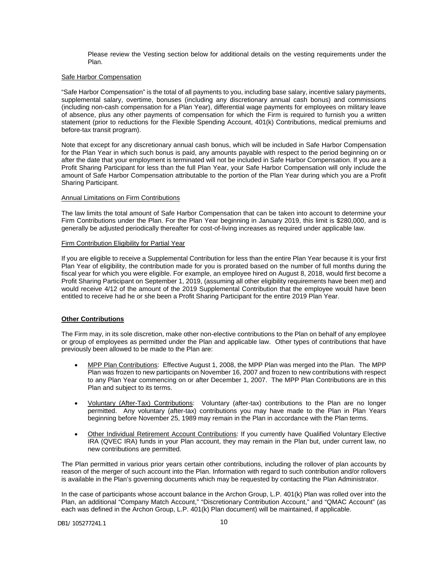Please review the Vesting section below for additional details on the vesting requirements under the Plan.

## Safe Harbor Compensation

"Safe Harbor Compensation" is the total of all payments to you, including base salary, incentive salary payments, supplemental salary, overtime, bonuses (including any discretionary annual cash bonus) and commissions (including non-cash compensation for a Plan Year), differential wage payments for employees on military leave of absence, plus any other payments of compensation for which the Firm is required to furnish you a written statement (prior to reductions for the Flexible Spending Account, 401(k) Contributions, medical premiums and before-tax transit program).

Note that except for any discretionary annual cash bonus, which will be included in Safe Harbor Compensation for the Plan Year in which such bonus is paid, any amounts payable with respect to the period beginning on or after the date that your employment is terminated will not be included in Safe Harbor Compensation. If you are a Profit Sharing Participant for less than the full Plan Year, your Safe Harbor Compensation will only include the amount of Safe Harbor Compensation attributable to the portion of the Plan Year during which you are a Profit Sharing Participant.

## Annual Limitations on Firm Contributions

The law limits the total amount of Safe Harbor Compensation that can be taken into account to determine your Firm Contributions under the Plan. For the Plan Year beginning in January 2019, this limit is \$280,000, and is generally be adjusted periodically thereafter for cost-of-living increases as required under applicable law.

## Firm Contribution Eligibility for Partial Year

If you are eligible to receive a Supplemental Contribution for less than the entire Plan Year because it is your first Plan Year of eligibility, the contribution made for you is prorated based on the number of full months during the fiscal year for which you were eligible. For example, an employee hired on August 8, 2018, would first become a Profit Sharing Participant on September 1, 2019, (assuming all other eligibility requirements have been met) and would receive 4/12 of the amount of the 2019 Supplemental Contribution that the employee would have been entitled to receive had he or she been a Profit Sharing Participant for the entire 2019 Plan Year.

## **Other Contributions**

The Firm may, in its sole discretion, make other non-elective contributions to the Plan on behalf of any employee or group of employees as permitted under the Plan and applicable law. Other types of contributions that have previously been allowed to be made to the Plan are:

- MPP Plan Contributions: Effective August 1, 2008, the MPP Plan was merged into the Plan. The MPP Plan was frozen to new participants on November 16, 2007 and frozen to new contributions with respect to any Plan Year commencing on or after December 1, 2007. The MPP Plan Contributions are in this Plan and subject to its terms.
- Voluntary (After-Tax) Contributions: Voluntary (after-tax) contributions to the Plan are no longer permitted. Any voluntary (after-tax) contributions you may have made to the Plan in Plan Years beginning before November 25, 1989 may remain in the Plan in accordance with the Plan terms.
- Other Individual Retirement Account Contributions: If you currently have Qualified Voluntary Elective IRA (QVEC IRA) funds in your Plan account, they may remain in the Plan but, under current law, no new contributions are permitted.

The Plan permitted in various prior years certain other contributions, including the rollover of plan accounts by reason of the merger of such account into the Plan. Information with regard to such contribution and/or rollovers is available in the Plan's governing documents which may be requested by contacting the Plan Administrator.

In the case of participants whose account balance in the Archon Group, L.P. 401(k) Plan was rolled over into the Plan, an additional "Company Match Account," "Discretionary Contribution Account," and "QMAC Account" (as each was defined in the Archon Group, L.P. 401(k) Plan document) will be maintained, if applicable.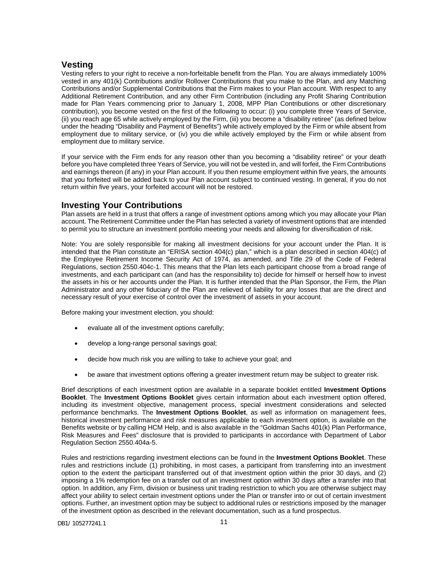## <span id="page-12-0"></span>**Vesting**

Vesting refers to your right to receive a non-forfeitable benefit from the Plan. You are always immediately 100% vested in any 401(k) Contributions and/or Rollover Contributions that you make to the Plan, and any Matching Contributions and/or Supplemental Contributions that the Firm makes to your Plan account. With respect to any Additional Retirement Contribution, and any other Firm Contribution (including any Profit Sharing Contribution made for Plan Years commencing prior to January 1, 2008, MPP Plan Contributions or other discretionary contribution), you become vested on the first of the following to occur: (i) you complete three Years of Service, (ii) you reach age 65 while actively employed by the Firm, (iii) you become a "disability retiree" (as defined below under the heading "Disability and Payment of Benefits") while actively employed by the Firm or while absent from employment due to military service, or (iv) you die while actively employed by the Firm or while absent from employment due to military service.

If your service with the Firm ends for any reason other than you becoming a "disability retiree" or your death before you have completed three Years of Service, you will not be vested in, and will forfeit, the Firm Contributions and earnings thereon (if any) in your Plan account. If you then resume employment within five years, the amounts that you forfeited will be added back to your Plan account subject to continued vesting. In general, if you do not return within five years, your forfeited account will not be restored.

## <span id="page-12-1"></span>**Investing Your Contributions**

Plan assets are held in a trust that offers a range of investment options among which you may allocate your Plan account. The Retirement Committee under the Plan has selected a variety of investment options that are intended to permit you to structure an investment portfolio meeting your needs and allowing for diversification of risk.

Note: You are solely responsible for making all investment decisions for your account under the Plan. It is intended that the Plan constitute an "ERISA section 404(c) plan," which is a plan described in section 404(c) of the Employee Retirement Income Security Act of 1974, as amended, and Title 29 of the Code of Federal Regulations, section 2550.404c-1. This means that the Plan lets each participant choose from a broad range of investments, and each participant can (and has the responsibility to) decide for himself or herself how to invest the assets in his or her accounts under the Plan. It is further intended that the Plan Sponsor, the Firm, the Plan Administrator and any other fiduciary of the Plan are relieved of liability for any losses that are the direct and necessary result of your exercise of control over the investment of assets in your account.

Before making your investment election, you should:

- evaluate all of the investment options carefully;
- develop a long-range personal savings goal;
- decide how much risk you are willing to take to achieve your goal; and
- be aware that investment options offering a greater investment return may be subject to greater risk.

Brief descriptions of each investment option are available in a separate booklet entitled **Investment Options Booklet**. The **Investment Options Booklet** gives certain information about each investment option offered, including its investment objective, management process, special investment considerations and selected performance benchmarks. The **Investment Options Booklet**, as well as information on management fees, historical investment performance and risk measures applicable to each investment option, is available on the Benefits website or by calling HCM Help, and is also available in the "Goldman Sachs 401(k) Plan Performance, Risk Measures and Fees" disclosure that is provided to participants in accordance with Department of Labor Regulation Section 2550.404a-5.

Rules and restrictions regarding investment elections can be found in the **Investment Options Booklet**. These rules and restrictions include (1) prohibiting, in most cases, a participant from transferring into an investment option to the extent the participant transferred out of that investment option within the prior 30 days, and (2) imposing a 1% redemption fee on a transfer out of an investment option within 30 days after a transfer into that option. In addition, any Firm, division or business unit trading restriction to which you are otherwise subject may affect your ability to select certain investment options under the Plan or transfer into or out of certain investment options. Further, an investment option may be subject to additional rules or restrictions imposed by the manager of the investment option as described in the relevant documentation, such as a fund prospectus.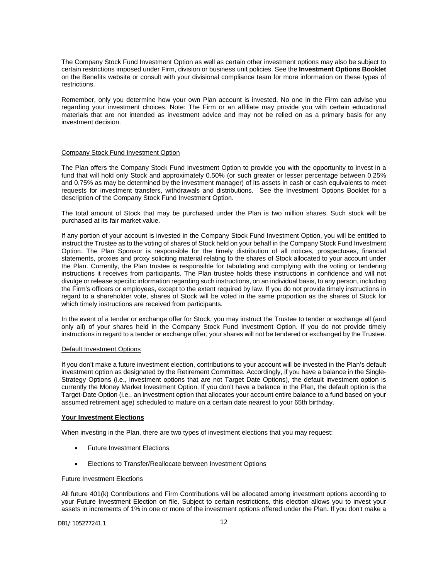The Company Stock Fund Investment Option as well as certain other investment options may also be subject to certain restrictions imposed under Firm, division or business unit policies. See the **Investment Options Booklet** on the Benefits website or consult with your divisional compliance team for more information on these types of restrictions.

Remember, only you determine how your own Plan account is invested. No one in the Firm can advise you regarding your investment choices. Note: The Firm or an affiliate may provide you with certain educational materials that are not intended as investment advice and may not be relied on as a primary basis for any investment decision.

## Company Stock Fund Investment Option

The Plan offers the Company Stock Fund Investment Option to provide you with the opportunity to invest in a fund that will hold only Stock and approximately 0.50% (or such greater or lesser percentage between 0.25% and 0.75% as may be determined by the investment manager) of its assets in cash or cash equivalents to meet requests for investment transfers, withdrawals and distributions. See the Investment Options Booklet for a description of the Company Stock Fund Investment Option.

The total amount of Stock that may be purchased under the Plan is two million shares. Such stock will be purchased at its fair market value.

If any portion of your account is invested in the Company Stock Fund Investment Option, you will be entitled to instruct the Trustee as to the voting of shares of Stock held on your behalf in the Company Stock Fund Investment Option. The Plan Sponsor is responsible for the timely distribution of all notices, prospectuses, financial statements, proxies and proxy soliciting material relating to the shares of Stock allocated to your account under the Plan. Currently, the Plan trustee is responsible for tabulating and complying with the voting or tendering instructions it receives from participants. The Plan trustee holds these instructions in confidence and will not divulge or release specific information regarding such instructions, on an individual basis, to any person, including the Firm's officers or employees, except to the extent required by law. If you do not provide timely instructions in regard to a shareholder vote, shares of Stock will be voted in the same proportion as the shares of Stock for which timely instructions are received from participants.

In the event of a tender or exchange offer for Stock, you may instruct the Trustee to tender or exchange all (and only all) of your shares held in the Company Stock Fund Investment Option. If you do not provide timely instructions in regard to a tender or exchange offer, your shares will not be tendered or exchanged by the Trustee.

## Default Investment Options

If you don't make a future investment election, contributions to your account will be invested in the Plan's default investment option as designated by the Retirement Committee. Accordingly, if you have a balance in the Single-Strategy Options (i.e., investment options that are not Target Date Options), the default investment option is currently the Money Market Investment Option. If you don't have a balance in the Plan, the default option is the Target-Date Option (i.e., an investment option that allocates your account entire balance to a fund based on your assumed retirement age) scheduled to mature on a certain date nearest to your 65th birthday.

## **Your Investment Elections**

When investing in the Plan, there are two types of investment elections that you may request:

- **Future Investment Elections**
- Elections to Transfer/Reallocate between Investment Options

## Future Investment Elections

All future 401(k) Contributions and Firm Contributions will be allocated among investment options according to your Future Investment Election on file. Subject to certain restrictions, this election allows you to invest your assets in increments of 1% in one or more of the investment options offered under the Plan. If you don't make a

## DB1/ 105277241.1 12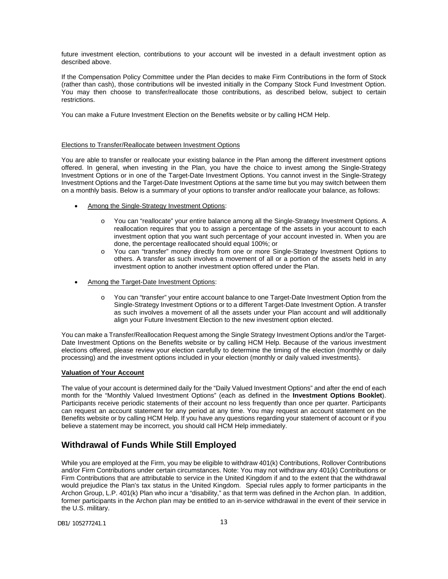future investment election, contributions to your account will be invested in a default investment option as described above.

If the Compensation Policy Committee under the Plan decides to make Firm Contributions in the form of Stock (rather than cash), those contributions will be invested initially in the Company Stock Fund Investment Option. You may then choose to transfer/reallocate those contributions, as described below, subject to certain restrictions.

You can make a Future Investment Election on the Benefits website or by calling HCM Help.

## Elections to Transfer/Reallocate between Investment Options

You are able to transfer or reallocate your existing balance in the Plan among the different investment options offered. In general, when investing in the Plan, you have the choice to invest among the Single-Strategy Investment Options or in one of the Target-Date Investment Options. You cannot invest in the Single-Strategy Investment Options and the Target-Date Investment Options at the same time but you may switch between them on a monthly basis. Below is a summary of your options to transfer and/or reallocate your balance, as follows:

- Among the Single-Strategy Investment Options:
	- o You can "reallocate" your entire balance among all the Single-Strategy Investment Options. A reallocation requires that you to assign a percentage of the assets in your account to each investment option that you want such percentage of your account invested in. When you are done, the percentage reallocated should equal 100%; or
	- o You can "transfer" money directly from one or more Single-Strategy Investment Options to others. A transfer as such involves a movement of all or a portion of the assets held in any investment option to another investment option offered under the Plan.
- Among the Target-Date Investment Options:
	- o You can "transfer" your entire account balance to one Target-Date Investment Option from the Single-Strategy Investment Options or to a different Target-Date Investment Option. A transfer as such involves a movement of all the assets under your Plan account and will additionally align your Future Investment Election to the new investment option elected.

You can make a Transfer/Reallocation Request among the Single Strategy Investment Options and/or the Target-Date Investment Options on the Benefits website or by calling HCM Help. Because of the various investment elections offered, please review your election carefully to determine the timing of the election (monthly or daily processing) and the investment options included in your election (monthly or daily valued investments).

## **Valuation of Your Account**

The value of your account is determined daily for the "Daily Valued Investment Options" and after the end of each month for the "Monthly Valued Investment Options" (each as defined in the **Investment Options Booklet**). Participants receive periodic statements of their account no less frequently than once per quarter. Participants can request an account statement for any period at any time. You may request an account statement on the Benefits website or by calling HCM Help. If you have any questions regarding your statement of account or if you believe a statement may be incorrect, you should call HCM Help immediately.

# <span id="page-14-0"></span>**Withdrawal of Funds While Still Employed**

While you are employed at the Firm, you may be eligible to withdraw 401(k) Contributions, Rollover Contributions and/or Firm Contributions under certain circumstances. Note: You may not withdraw any 401(k) Contributions or Firm Contributions that are attributable to service in the United Kingdom if and to the extent that the withdrawal would prejudice the Plan's tax status in the United Kingdom. Special rules apply to former participants in the Archon Group, L.P. 401(k) Plan who incur a "disability," as that term was defined in the Archon plan. In addition, former participants in the Archon plan may be entitled to an in-service withdrawal in the event of their service in the U.S. military.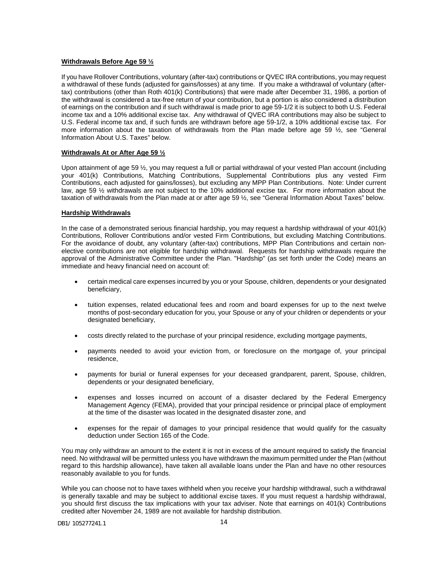## **Withdrawals Before Age 59 ½**

If you have Rollover Contributions, voluntary (after-tax) contributions or QVEC IRA contributions, you may request a withdrawal of these funds (adjusted for gains/losses) at any time. If you make a withdrawal of voluntary (aftertax) contributions (other than Roth 401(k) Contributions) that were made after December 31, 1986, a portion of the withdrawal is considered a tax-free return of your contribution, but a portion is also considered a distribution of earnings on the contribution and if such withdrawal is made prior to age 59-1/2 it is subject to both U.S. Federal income tax and a 10% additional excise tax. Any withdrawal of QVEC IRA contributions may also be subject to U.S. Federal income tax and, if such funds are withdrawn before age 59-1/2, a 10% additional excise tax. For more information about the taxation of withdrawals from the Plan made before age 59 ½, see "General Information About U.S. Taxes" below.

## **Withdrawals At or After Age 59 ½**

Upon attainment of age 59  $\frac{1}{2}$ , you may request a full or partial withdrawal of your vested Plan account (including your 401(k) Contributions, Matching Contributions, Supplemental Contributions plus any vested Firm Contributions, each adjusted for gains/losses), but excluding any MPP Plan Contributions. Note: Under current law, age 59 ½ withdrawals are not subject to the 10% additional excise tax. For more information about the taxation of withdrawals from the Plan made at or after age 59 ½, see "General Information About Taxes" below.

## **Hardship Withdrawals**

In the case of a demonstrated serious financial hardship, you may request a hardship withdrawal of your 401(k) Contributions, Rollover Contributions and/or vested Firm Contributions, but excluding Matching Contributions. For the avoidance of doubt, any voluntary (after-tax) contributions, MPP Plan Contributions and certain nonelective contributions are not eligible for hardship withdrawal. Requests for hardship withdrawals require the approval of the Administrative Committee under the Plan. "Hardship" (as set forth under the Code) means an immediate and heavy financial need on account of:

- certain medical care expenses incurred by you or your Spouse, children, dependents or your designated beneficiary,
- tuition expenses, related educational fees and room and board expenses for up to the next twelve months of post-secondary education for you, your Spouse or any of your children or dependents or your designated beneficiary,
- costs directly related to the purchase of your principal residence, excluding mortgage payments,
- payments needed to avoid your eviction from, or foreclosure on the mortgage of, your principal residence,
- payments for burial or funeral expenses for your deceased grandparent, parent, Spouse, children, dependents or your designated beneficiary,
- expenses and losses incurred on account of a disaster declared by the Federal Emergency Management Agency (FEMA), provided that your principal residence or principal place of employment at the time of the disaster was located in the designated disaster zone, and
- expenses for the repair of damages to your principal residence that would qualify for the casualty deduction under Section 165 of the Code.

You may only withdraw an amount to the extent it is not in excess of the amount required to satisfy the financial need. No withdrawal will be permitted unless you have withdrawn the maximum permitted under the Plan (without regard to this hardship allowance), have taken all available loans under the Plan and have no other resources reasonably available to you for funds.

While you can choose not to have taxes withheld when you receive your hardship withdrawal, such a withdrawal is generally taxable and may be subject to additional excise taxes. If you must request a hardship withdrawal, you should first discuss the tax implications with your tax adviser. Note that earnings on 401(k) Contributions credited after November 24, 1989 are not available for hardship distribution.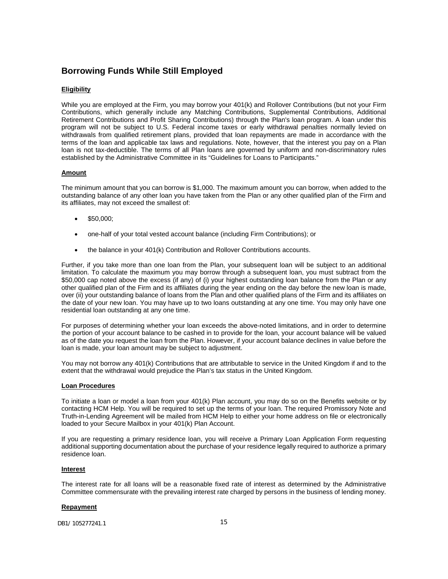# <span id="page-16-0"></span>**Borrowing Funds While Still Employed**

## **Eligibility**

While you are employed at the Firm, you may borrow your 401(k) and Rollover Contributions (but not your Firm Contributions, which generally include any Matching Contributions, Supplemental Contributions, Additional Retirement Contributions and Profit Sharing Contributions) through the Plan's loan program. A loan under this program will not be subject to U.S. Federal income taxes or early withdrawal penalties normally levied on withdrawals from qualified retirement plans, provided that loan repayments are made in accordance with the terms of the loan and applicable tax laws and regulations. Note, however, that the interest you pay on a Plan loan is not tax-deductible. The terms of all Plan loans are governed by uniform and non-discriminatory rules established by the Administrative Committee in its "Guidelines for Loans to Participants."

## **Amount**

The minimum amount that you can borrow is \$1,000. The maximum amount you can borrow, when added to the outstanding balance of any other loan you have taken from the Plan or any other qualified plan of the Firm and its affiliates, may not exceed the smallest of:

- \$50,000;
- one-half of your total vested account balance (including Firm Contributions); or
- the balance in your 401(k) Contribution and Rollover Contributions accounts.

Further, if you take more than one loan from the Plan, your subsequent loan will be subject to an additional limitation. To calculate the maximum you may borrow through a subsequent loan, you must subtract from the \$50,000 cap noted above the excess (if any) of (i) your highest outstanding loan balance from the Plan or any other qualified plan of the Firm and its affiliates during the year ending on the day before the new loan is made, over (ii) your outstanding balance of loans from the Plan and other qualified plans of the Firm and its affiliates on the date of your new loan. You may have up to two loans outstanding at any one time. You may only have one residential loan outstanding at any one time.

For purposes of determining whether your loan exceeds the above-noted limitations, and in order to determine the portion of your account balance to be cashed in to provide for the loan, your account balance will be valued as of the date you request the loan from the Plan. However, if your account balance declines in value before the loan is made, your loan amount may be subject to adjustment.

You may not borrow any 401(k) Contributions that are attributable to service in the United Kingdom if and to the extent that the withdrawal would prejudice the Plan's tax status in the United Kingdom.

## **Loan Procedures**

To initiate a loan or model a loan from your 401(k) Plan account, you may do so on the Benefits website or by contacting HCM Help. You will be required to set up the terms of your loan. The required Promissory Note and Truth-in-Lending Agreement will be mailed from HCM Help to either your home address on file or electronically loaded to your Secure Mailbox in your 401(k) Plan Account.

If you are requesting a primary residence loan, you will receive a Primary Loan Application Form requesting additional supporting documentation about the purchase of your residence legally required to authorize a primary residence loan.

## **Interest**

The interest rate for all loans will be a reasonable fixed rate of interest as determined by the Administrative Committee commensurate with the prevailing interest rate charged by persons in the business of lending money.

## **Repayment**

DB1/ 105277241.1 15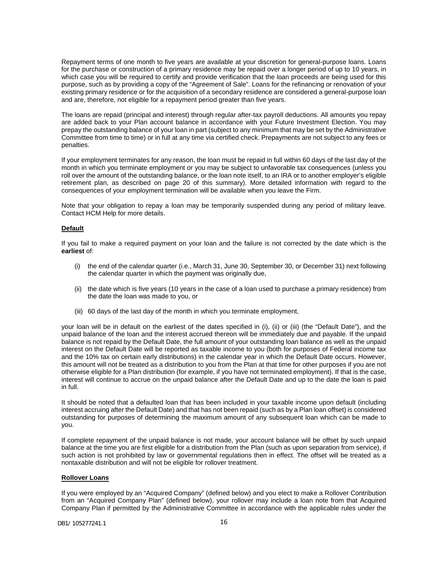Repayment terms of one month to five years are available at your discretion for general-purpose loans. Loans for the purchase or construction of a primary residence may be repaid over a longer period of up to 10 years, in which case you will be required to certify and provide verification that the loan proceeds are being used for this purpose, such as by providing a copy of the "Agreement of Sale". Loans for the refinancing or renovation of your existing primary residence or for the acquisition of a secondary residence are considered a general-purpose loan and are, therefore, not eligible for a repayment period greater than five years.

The loans are repaid (principal and interest) through regular after-tax payroll deductions. All amounts you repay are added back to your Plan account balance in accordance with your Future Investment Election. You may prepay the outstanding balance of your loan in part (subject to any minimum that may be set by the Administrative Committee from time to time) or in full at any time via certified check. Prepayments are not subject to any fees or penalties.

If your employment terminates for any reason, the loan must be repaid in full within 60 days of the last day of the month in which you terminate employment or you may be subject to unfavorable tax consequences (unless you roll over the amount of the outstanding balance, or the loan note itself, to an IRA or to another employer's eligible retirement plan, as described on page 20 of this summary). More detailed information with regard to the consequences of your employment termination will be available when you leave the Firm.

Note that your obligation to repay a loan may be temporarily suspended during any period of military leave. Contact HCM Help for more details.

#### **Default**

If you fail to make a required payment on your loan and the failure is not corrected by the date which is the **earliest** of:

- (i) the end of the calendar quarter (i.e., March 31, June 30, September 30, or December 31) next following the calendar quarter in which the payment was originally due,
- (ii) the date which is five years (10 years in the case of a loan used to purchase a primary residence) from the date the loan was made to you, or
- (iii) 60 days of the last day of the month in which you terminate employment,

your loan will be in default on the earliest of the dates specified in (i), (ii) or (iii) (the "Default Date"), and the unpaid balance of the loan and the interest accrued thereon will be immediately due and payable. If the unpaid balance is not repaid by the Default Date, the full amount of your outstanding loan balance as well as the unpaid interest on the Default Date will be reported as taxable income to you (both for purposes of Federal income tax and the 10% tax on certain early distributions) in the calendar year in which the Default Date occurs. However, this amount will not be treated as a distribution to you from the Plan at that time for other purposes if you are not otherwise eligible for a Plan distribution (for example, if you have not terminated employment). If that is the case, interest will continue to accrue on the unpaid balance after the Default Date and up to the date the loan is paid in full.

It should be noted that a defaulted loan that has been included in your taxable income upon default (including interest accruing after the Default Date) and that has not been repaid (such as by a Plan loan offset) is considered outstanding for purposes of determining the maximum amount of any subsequent loan which can be made to you.

If complete repayment of the unpaid balance is not made, your account balance will be offset by such unpaid balance at the time you are first eligible for a distribution from the Plan (such as upon separation from service), if such action is not prohibited by law or governmental regulations then in effect. The offset will be treated as a nontaxable distribution and will not be eligible for rollover treatment.

## **Rollover Loans**

If you were employed by an "Acquired Company" (defined below) and you elect to make a Rollover Contribution from an "Acquired Company Plan" (defined below), your rollover may include a loan note from that Acquired Company Plan if permitted by the Administrative Committee in accordance with the applicable rules under the

DB1/ 105277241.1 16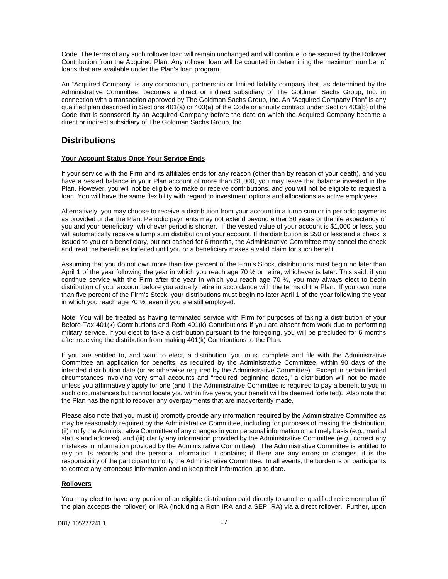Code. The terms of any such rollover loan will remain unchanged and will continue to be secured by the Rollover Contribution from the Acquired Plan. Any rollover loan will be counted in determining the maximum number of loans that are available under the Plan's loan program.

An "Acquired Company" is any corporation, partnership or limited liability company that, as determined by the Administrative Committee, becomes a direct or indirect subsidiary of The Goldman Sachs Group, Inc. in connection with a transaction approved by The Goldman Sachs Group, Inc. An "Acquired Company Plan" is any qualified plan described in Sections 401(a) or 403(a) of the Code or annuity contract under Section 403(b) of the Code that is sponsored by an Acquired Company before the date on which the Acquired Company became a direct or indirect subsidiary of The Goldman Sachs Group, Inc.

## <span id="page-18-0"></span>**Distributions**

## **Your Account Status Once Your Service Ends**

If your service with the Firm and its affiliates ends for any reason (other than by reason of your death), and you have a vested balance in your Plan account of more than \$1,000, you may leave that balance invested in the Plan. However, you will not be eligible to make or receive contributions, and you will not be eligible to request a loan. You will have the same flexibility with regard to investment options and allocations as active employees.

Alternatively, you may choose to receive a distribution from your account in a lump sum or in periodic payments as provided under the Plan. Periodic payments may not extend beyond either 30 years or the life expectancy of you and your beneficiary, whichever period is shorter. If the vested value of your account is \$1,000 or less, you will automatically receive a lump sum distribution of your account. If the distribution is \$50 or less and a check is issued to you or a beneficiary, but not cashed for 6 months, the Administrative Committee may cancel the check and treat the benefit as forfeited until you or a beneficiary makes a valid claim for such benefit.

Assuming that you do not own more than five percent of the Firm's Stock, distributions must begin no later than April 1 of the year following the year in which you reach age 70  $\frac{1}{2}$  or retire, whichever is later. This said, if you continue service with the Firm after the year in which you reach age 70 ½, you may always elect to begin distribution of your account before you actually retire in accordance with the terms of the Plan. If you own more than five percent of the Firm's Stock, your distributions must begin no later April 1 of the year following the year in which you reach age 70 ½, even if you are still employed.

Note: You will be treated as having terminated service with Firm for purposes of taking a distribution of your Before-Tax 401(k) Contributions and Roth 401(k) Contributions if you are absent from work due to performing military service. If you elect to take a distribution pursuant to the foregoing, you will be precluded for 6 months after receiving the distribution from making 401(k) Contributions to the Plan.

If you are entitled to, and want to elect, a distribution, you must complete and file with the Administrative Committee an application for benefits, as required by the Administrative Committee, within 90 days of the intended distribution date (or as otherwise required by the Administrative Committee). Except in certain limited circumstances involving very small accounts and "required beginning dates," a distribution will not be made unless you affirmatively apply for one (and if the Administrative Committee is required to pay a benefit to you in such circumstances but cannot locate you within five years, your benefit will be deemed forfeited). Also note that the Plan has the right to recover any overpayments that are inadvertently made.

Please also note that you must (i) promptly provide any information required by the Administrative Committee as may be reasonably required by the Administrative Committee, including for purposes of making the distribution, (ii) notify the Administrative Committee of any changes in your personal information on a timely basis (*e.g.*, marital status and address), and (iii) clarify any information provided by the Administrative Committee (*e.g.*, correct any mistakes in information provided by the Administrative Committee). The Administrative Committee is entitled to rely on its records and the personal information it contains; if there are any errors or changes, it is the responsibility of the participant to notify the Administrative Committee. In all events, the burden is on participants to correct any erroneous information and to keep their information up to date.

## **Rollovers**

You may elect to have any portion of an eligible distribution paid directly to another qualified retirement plan (if the plan accepts the rollover) or IRA (including a Roth IRA and a SEP IRA) via a direct rollover. Further, upon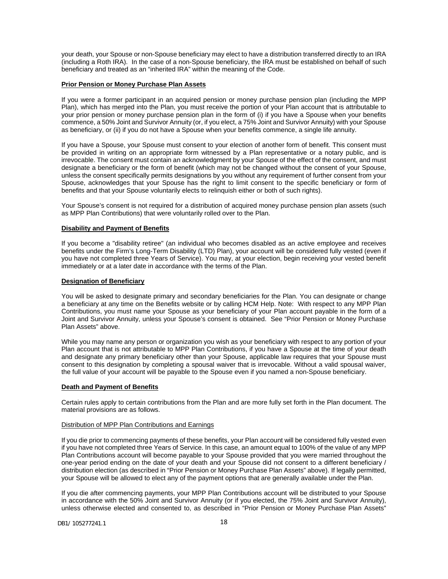your death, your Spouse or non-Spouse beneficiary may elect to have a distribution transferred directly to an IRA (including a Roth IRA). In the case of a non-Spouse beneficiary, the IRA must be established on behalf of such beneficiary and treated as an "inherited IRA" within the meaning of the Code.

## **Prior Pension or Money Purchase Plan Assets**

If you were a former participant in an acquired pension or money purchase pension plan (including the MPP Plan), which has merged into the Plan, you must receive the portion of your Plan account that is attributable to your prior pension or money purchase pension plan in the form of (i) if you have a Spouse when your benefits commence, a 50% Joint and Survivor Annuity (or, if you elect, a 75% Joint and Survivor Annuity) with your Spouse as beneficiary, or (ii) if you do not have a Spouse when your benefits commence, a single life annuity.

If you have a Spouse, your Spouse must consent to your election of another form of benefit. This consent must be provided in writing on an appropriate form witnessed by a Plan representative or a notary public, and is irrevocable. The consent must contain an acknowledgment by your Spouse of the effect of the consent, and must designate a beneficiary or the form of benefit (which may not be changed without the consent of your Spouse, unless the consent specifically permits designations by you without any requirement of further consent from your Spouse, acknowledges that your Spouse has the right to limit consent to the specific beneficiary or form of benefits and that your Spouse voluntarily elects to relinquish either or both of such rights).

Your Spouse's consent is not required for a distribution of acquired money purchase pension plan assets (such as MPP Plan Contributions) that were voluntarily rolled over to the Plan.

## **Disability and Payment of Benefits**

If you become a "disability retiree" (an individual who becomes disabled as an active employee and receives benefits under the Firm's Long-Term Disability (LTD) Plan), your account will be considered fully vested (even if you have not completed three Years of Service). You may, at your election, begin receiving your vested benefit immediately or at a later date in accordance with the terms of the Plan.

#### **Designation of Beneficiary**

You will be asked to designate primary and secondary beneficiaries for the Plan. You can designate or change a beneficiary at any time on the Benefits website or by calling HCM Help. Note: With respect to any MPP Plan Contributions, you must name your Spouse as your beneficiary of your Plan account payable in the form of a Joint and Survivor Annuity, unless your Spouse's consent is obtained. See "Prior Pension or Money Purchase Plan Assets" above.

While you may name any person or organization you wish as your beneficiary with respect to any portion of your Plan account that is not attributable to MPP Plan Contributions, if you have a Spouse at the time of your death and designate any primary beneficiary other than your Spouse, applicable law requires that your Spouse must consent to this designation by completing a spousal waiver that is irrevocable. Without a valid spousal waiver, the full value of your account will be payable to the Spouse even if you named a non-Spouse beneficiary.

## **Death and Payment of Benefits**

Certain rules apply to certain contributions from the Plan and are more fully set forth in the Plan document. The material provisions are as follows.

#### Distribution of MPP Plan Contributions and Earnings

If you die prior to commencing payments of these benefits, your Plan account will be considered fully vested even if you have not completed three Years of Service. In this case, an amount equal to 100% of the value of any MPP Plan Contributions account will become payable to your Spouse provided that you were married throughout the one-year period ending on the date of your death and your Spouse did not consent to a different beneficiary / distribution election (as described in "Prior Pension or Money Purchase Plan Assets" above). If legally permitted, your Spouse will be allowed to elect any of the payment options that are generally available under the Plan.

If you die after commencing payments, your MPP Plan Contributions account will be distributed to your Spouse in accordance with the 50% Joint and Survivor Annuity (or if you elected, the 75% Joint and Survivor Annuity), unless otherwise elected and consented to, as described in "Prior Pension or Money Purchase Plan Assets"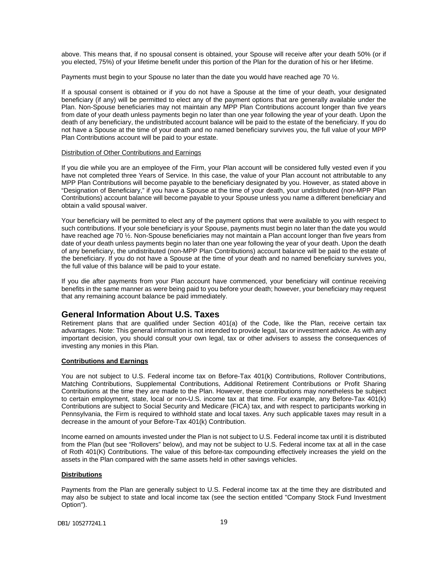above. This means that, if no spousal consent is obtained, your Spouse will receive after your death 50% (or if you elected, 75%) of your lifetime benefit under this portion of the Plan for the duration of his or her lifetime.

Payments must begin to your Spouse no later than the date you would have reached age 70  $\frac{1}{2}$ .

If a spousal consent is obtained or if you do not have a Spouse at the time of your death, your designated beneficiary (if any) will be permitted to elect any of the payment options that are generally available under the Plan. Non-Spouse beneficiaries may not maintain any MPP Plan Contributions account longer than five years from date of your death unless payments begin no later than one year following the year of your death. Upon the death of any beneficiary, the undistributed account balance will be paid to the estate of the beneficiary. If you do not have a Spouse at the time of your death and no named beneficiary survives you, the full value of your MPP Plan Contributions account will be paid to your estate.

#### Distribution of Other Contributions and Earnings

If you die while you are an employee of the Firm, your Plan account will be considered fully vested even if you have not completed three Years of Service. In this case, the value of your Plan account not attributable to any MPP Plan Contributions will become payable to the beneficiary designated by you. However, as stated above in "Designation of Beneficiary," if you have a Spouse at the time of your death, your undistributed (non-MPP Plan Contributions) account balance will become payable to your Spouse unless you name a different beneficiary and obtain a valid spousal waiver.

Your beneficiary will be permitted to elect any of the payment options that were available to you with respect to such contributions. If your sole beneficiary is your Spouse, payments must begin no later than the date you would have reached age 70  $\frac{1}{2}$ . Non-Spouse beneficiaries may not maintain a Plan account longer than five years from date of your death unless payments begin no later than one year following the year of your death. Upon the death of any beneficiary, the undistributed (non-MPP Plan Contributions) account balance will be paid to the estate of the beneficiary. If you do not have a Spouse at the time of your death and no named beneficiary survives you, the full value of this balance will be paid to your estate.

If you die after payments from your Plan account have commenced, your beneficiary will continue receiving benefits in the same manner as were being paid to you before your death; however, your beneficiary may request that any remaining account balance be paid immediately.

## <span id="page-20-0"></span>**General Information About U.S. Taxes**

Retirement plans that are qualified under Section 401(a) of the Code, like the Plan, receive certain tax advantages. Note: This general information is not intended to provide legal, tax or investment advice. As with any important decision, you should consult your own legal, tax or other advisers to assess the consequences of investing any monies in this Plan.

## **Contributions and Earnings**

You are not subject to U.S. Federal income tax on Before-Tax 401(k) Contributions, Rollover Contributions, Matching Contributions, Supplemental Contributions, Additional Retirement Contributions or Profit Sharing Contributions at the time they are made to the Plan. However, these contributions may nonetheless be subject to certain employment, state, local or non-U.S. income tax at that time. For example, any Before-Tax 401(k) Contributions are subject to Social Security and Medicare (FICA) tax, and with respect to participants working in Pennsylvania, the Firm is required to withhold state and local taxes. Any such applicable taxes may result in a decrease in the amount of your Before-Tax 401(k) Contribution.

Income earned on amounts invested under the Plan is not subject to U.S. Federal income tax until it is distributed from the Plan (but see "Rollovers" below), and may not be subject to U.S. Federal income tax at all in the case of Roth 401(K) Contributions. The value of this before-tax compounding effectively increases the yield on the assets in the Plan compared with the same assets held in other savings vehicles.

## **Distributions**

Payments from the Plan are generally subject to U.S. Federal income tax at the time they are distributed and may also be subject to state and local income tax (see the section entitled "Company Stock Fund Investment Option").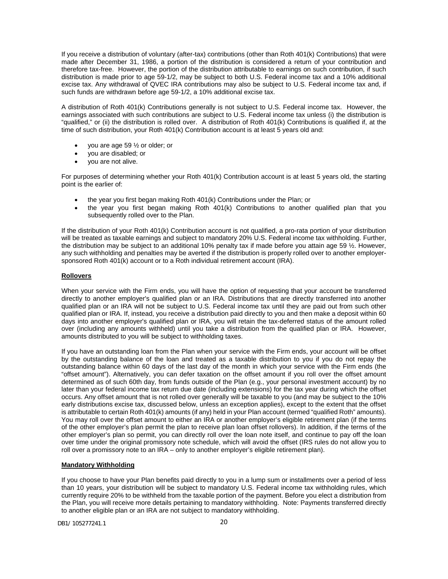If you receive a distribution of voluntary (after-tax) contributions (other than Roth 401(k) Contributions) that were made after December 31, 1986, a portion of the distribution is considered a return of your contribution and therefore tax-free. However, the portion of the distribution attributable to earnings on such contribution, if such distribution is made prior to age 59-1/2, may be subject to both U.S. Federal income tax and a 10% additional excise tax. Any withdrawal of QVEC IRA contributions may also be subject to U.S. Federal income tax and, if such funds are withdrawn before age 59-1/2, a 10% additional excise tax.

A distribution of Roth 401(k) Contributions generally is not subject to U.S. Federal income tax. However, the earnings associated with such contributions are subject to U.S. Federal income tax unless (i) the distribution is "qualified," or (ii) the distribution is rolled over. A distribution of Roth 401(k) Contributions is qualified if, at the time of such distribution, your Roth 401(k) Contribution account is at least 5 years old and:

- you are age 59  $\frac{1}{2}$  or older; or
- you are disabled; or
- you are not alive.

For purposes of determining whether your Roth 401(k) Contribution account is at least 5 years old, the starting point is the earlier of:

- the year you first began making Roth 401(k) Contributions under the Plan; or
- the year you first began making Roth 401(k) Contributions to another qualified plan that you subsequently rolled over to the Plan.

If the distribution of your Roth 401(k) Contribution account is not qualified, a pro-rata portion of your distribution will be treated as taxable earnings and subject to mandatory 20% U.S. Federal income tax withholding. Further, the distribution may be subject to an additional 10% penalty tax if made before you attain age 59 ½. However, any such withholding and penalties may be averted if the distribution is properly rolled over to another employersponsored Roth 401(k) account or to a Roth individual retirement account (IRA).

## **Rollovers**

When your service with the Firm ends, you will have the option of requesting that your account be transferred directly to another employer's qualified plan or an IRA. Distributions that are directly transferred into another qualified plan or an IRA will not be subject to U.S. Federal income tax until they are paid out from such other qualified plan or IRA. If, instead, you receive a distribution paid directly to you and then make a deposit within 60 days into another employer's qualified plan or IRA, you will retain the tax-deferred status of the amount rolled over (including any amounts withheld) until you take a distribution from the qualified plan or IRA. However, amounts distributed to you will be subject to withholding taxes.

If you have an outstanding loan from the Plan when your service with the Firm ends, your account will be offset by the outstanding balance of the loan and treated as a taxable distribution to you if you do not repay the outstanding balance within 60 days of the last day of the month in which your service with the Firm ends (the "offset amount"). Alternatively, you can defer taxation on the offset amount if you roll over the offset amount determined as of such 60th day, from funds outside of the Plan (e.g., your personal investment account) by no later than your federal income tax return due date (including extensions) for the tax year during which the offset occurs. Any offset amount that is not rolled over generally will be taxable to you (and may be subject to the 10% early distributions excise tax, discussed below, unless an exception applies), except to the extent that the offset is attributable to certain Roth 401(k) amounts (if any) held in your Plan account (termed "qualified Roth" amounts). You may roll over the offset amount to either an IRA or another employer's eligible retirement plan (if the terms of the other employer's plan permit the plan to receive plan loan offset rollovers). In addition, if the terms of the other employer's plan so permit, you can directly roll over the loan note itself, and continue to pay off the loan over time under the original promissory note schedule, which will avoid the offset (IRS rules do not allow you to roll over a promissory note to an IRA – only to another employer's eligible retirement plan).

## **Mandatory Withholding**

If you choose to have your Plan benefits paid directly to you in a lump sum or installments over a period of less than 10 years, your distribution will be subject to mandatory U.S. Federal income tax withholding rules, which currently require 20% to be withheld from the taxable portion of the payment. Before you elect a distribution from the Plan, you will receive more details pertaining to mandatory withholding. Note: Payments transferred directly to another eligible plan or an IRA are not subject to mandatory withholding.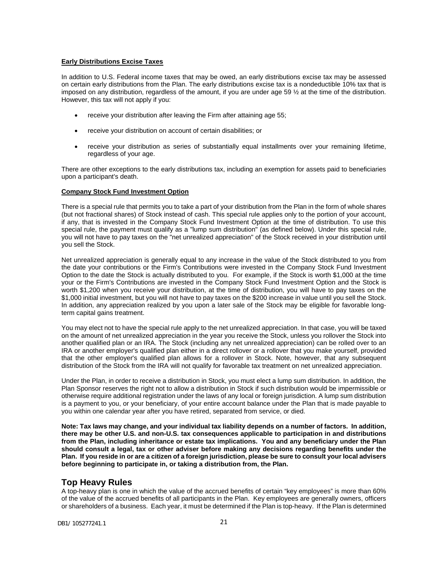## **Early Distributions Excise Taxes**

In addition to U.S. Federal income taxes that may be owed, an early distributions excise tax may be assessed on certain early distributions from the Plan. The early distributions excise tax is a nondeductible 10% tax that is imposed on any distribution, regardless of the amount, if you are under age 59  $\frac{1}{2}$  at the time of the distribution. However, this tax will not apply if you:

- receive your distribution after leaving the Firm after attaining age 55;
- receive your distribution on account of certain disabilities; or
- receive your distribution as series of substantially equal installments over your remaining lifetime, regardless of your age.

There are other exceptions to the early distributions tax, including an exemption for assets paid to beneficiaries upon a participant's death.

## **Company Stock Fund Investment Option**

There is a special rule that permits you to take a part of your distribution from the Plan in the form of whole shares (but not fractional shares) of Stock instead of cash. This special rule applies only to the portion of your account, if any, that is invested in the Company Stock Fund Investment Option at the time of distribution. To use this special rule, the payment must qualify as a "lump sum distribution" (as defined below). Under this special rule, you will not have to pay taxes on the "net unrealized appreciation" of the Stock received in your distribution until you sell the Stock.

Net unrealized appreciation is generally equal to any increase in the value of the Stock distributed to you from the date your contributions or the Firm's Contributions were invested in the Company Stock Fund Investment Option to the date the Stock is actually distributed to you. For example, if the Stock is worth \$1,000 at the time your or the Firm's Contributions are invested in the Company Stock Fund Investment Option and the Stock is worth \$1,200 when you receive your distribution, at the time of distribution, you will have to pay taxes on the \$1,000 initial investment, but you will not have to pay taxes on the \$200 increase in value until you sell the Stock. In addition, any appreciation realized by you upon a later sale of the Stock may be eligible for favorable longterm capital gains treatment.

You may elect not to have the special rule apply to the net unrealized appreciation. In that case, you will be taxed on the amount of net unrealized appreciation in the year you receive the Stock, unless you rollover the Stock into another qualified plan or an IRA. The Stock (including any net unrealized appreciation) can be rolled over to an IRA or another employer's qualified plan either in a direct rollover or a rollover that you make yourself, provided that the other employer's qualified plan allows for a rollover in Stock. Note, however, that any subsequent distribution of the Stock from the IRA will not qualify for favorable tax treatment on net unrealized appreciation.

Under the Plan, in order to receive a distribution in Stock, you must elect a lump sum distribution. In addition, the Plan Sponsor reserves the right not to allow a distribution in Stock if such distribution would be impermissible or otherwise require additional registration under the laws of any local or foreign jurisdiction. A lump sum distribution is a payment to you, or your beneficiary, of your entire account balance under the Plan that is made payable to you within one calendar year after you have retired, separated from service, or died.

**Note: Tax laws may change, and your individual tax liability depends on a number of factors. In addition, there may be other U.S. and non-U.S. tax consequences applicable to participation in and distributions from the Plan, including inheritance or estate tax implications. You and any beneficiary under the Plan should consult a legal, tax or other adviser before making any decisions regarding benefits under the Plan. If you reside in or are a citizen of a foreign jurisdiction, please be sure to consult your local advisers before beginning to participate in, or taking a distribution from, the Plan.**

## <span id="page-22-0"></span>**Top Heavy Rules**

A top-heavy plan is one in which the value of the accrued benefits of certain "key employees" is more than 60% of the value of the accrued benefits of all participants in the Plan. Key employees are generally owners, officers or shareholders of a business. Each year, it must be determined if the Plan is top-heavy. If the Plan is determined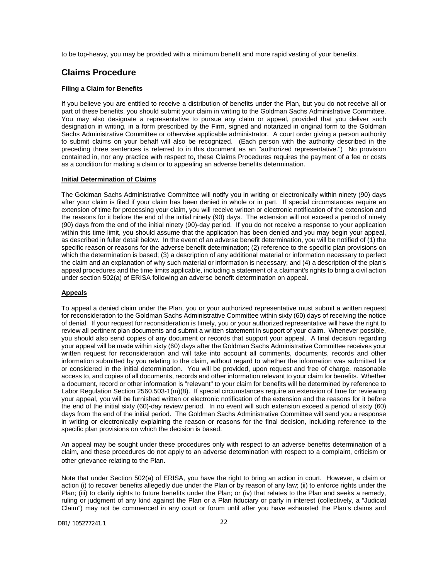to be top-heavy, you may be provided with a minimum benefit and more rapid vesting of your benefits.

# <span id="page-23-0"></span>**Claims Procedure**

## **Filing a Claim for Benefits**

If you believe you are entitled to receive a distribution of benefits under the Plan, but you do not receive all or part of these benefits, you should submit your claim in writing to the Goldman Sachs Administrative Committee. You may also designate a representative to pursue any claim or appeal, provided that you deliver such designation in writing, in a form prescribed by the Firm, signed and notarized in original form to the Goldman Sachs Administrative Committee or otherwise applicable administrator. A court order giving a person authority to submit claims on your behalf will also be recognized. (Each person with the authority described in the preceding three sentences is referred to in this document as an "authorized representative.") No provision contained in, nor any practice with respect to, these Claims Procedures requires the payment of a fee or costs as a condition for making a claim or to appealing an adverse benefits determination.

## **Initial Determination of Claims**

The Goldman Sachs Administrative Committee will notify you in writing or electronically within ninety (90) days after your claim is filed if your claim has been denied in whole or in part. If special circumstances require an extension of time for processing your claim, you will receive written or electronic notification of the extension and the reasons for it before the end of the initial ninety (90) days. The extension will not exceed a period of ninety (90) days from the end of the initial ninety (90)-day period. If you do not receive a response to your application within this time limit, you should assume that the application has been denied and you may begin your appeal, as described in fuller detail below. In the event of an adverse benefit determination, you will be notified of (1) the specific reason or reasons for the adverse benefit determination; (2) reference to the specific plan provisions on which the determination is based; (3) a description of any additional material or information necessary to perfect the claim and an explanation of why such material or information is necessary; and (4) a description of the plan's appeal procedures and the time limits applicable, including a statement of a claimant's rights to bring a civil action under section 502(a) of ERISA following an adverse benefit determination on appeal.

#### **Appeals**

To appeal a denied claim under the Plan, you or your authorized representative must submit a written request for reconsideration to the Goldman Sachs Administrative Committee within sixty (60) days of receiving the notice of denial. If your request for reconsideration is timely, you or your authorized representative will have the right to review all pertinent plan documents and submit a written statement in support of your claim. Whenever possible, you should also send copies of any document or records that support your appeal. A final decision regarding your appeal will be made within sixty (60) days after the Goldman Sachs Administrative Committee receives your written request for reconsideration and will take into account all comments, documents, records and other information submitted by you relating to the claim, without regard to whether the information was submitted for or considered in the initial determination. You will be provided, upon request and free of charge, reasonable access to, and copies of all documents, records and other information relevant to your claim for benefits. Whether a document, record or other information is "relevant" to your claim for benefits will be determined by reference to Labor Regulation Section 2560.503-1(m)(8). If special circumstances require an extension of time for reviewing your appeal, you will be furnished written or electronic notification of the extension and the reasons for it before the end of the initial sixty (60)-day review period. In no event will such extension exceed a period of sixty (60) days from the end of the initial period. The Goldman Sachs Administrative Committee will send you a response in writing or electronically explaining the reason or reasons for the final decision, including reference to the specific plan provisions on which the decision is based.

An appeal may be sought under these procedures only with respect to an adverse benefits determination of a claim, and these procedures do not apply to an adverse determination with respect to a complaint, criticism or other grievance relating to the Plan.

Note that under Section 502(a) of ERISA, you have the right to bring an action in court. However, a claim or action (i) to recover benefits allegedly due under the Plan or by reason of any law; (ii) to enforce rights under the Plan; (iii) to clarify rights to future benefits under the Plan; or (iv) that relates to the Plan and seeks a remedy, ruling or judgment of any kind against the Plan or a Plan fiduciary or party in interest (collectively, a "Judicial Claim") may not be commenced in any court or forum until after you have exhausted the Plan's claims and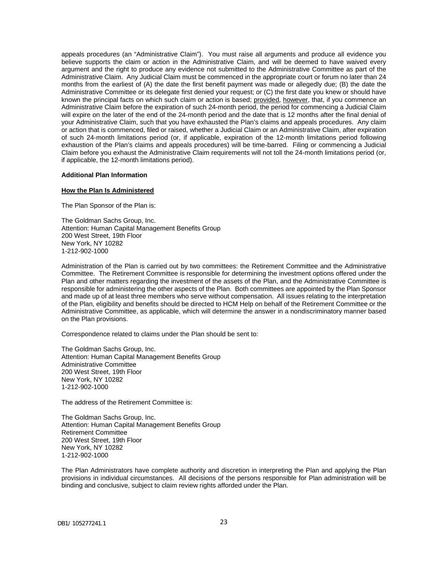appeals procedures (an "Administrative Claim"). You must raise all arguments and produce all evidence you believe supports the claim or action in the Administrative Claim, and will be deemed to have waived every argument and the right to produce any evidence not submitted to the Administrative Committee as part of the Administrative Claim. Any Judicial Claim must be commenced in the appropriate court or forum no later than 24 months from the earliest of (A) the date the first benefit payment was made or allegedly due; (B) the date the Administrative Committee or its delegate first denied your request; or (C) the first date you knew or should have known the principal facts on which such claim or action is based; provided, however, that, if you commence an Administrative Claim before the expiration of such 24-month period, the period for commencing a Judicial Claim will expire on the later of the end of the 24-month period and the date that is 12 months after the final denial of your Administrative Claim, such that you have exhausted the Plan's claims and appeals procedures. Any claim or action that is commenced, filed or raised, whether a Judicial Claim or an Administrative Claim, after expiration of such 24-month limitations period (or, if applicable, expiration of the 12-month limitations period following exhaustion of the Plan's claims and appeals procedures) will be time-barred. Filing or commencing a Judicial Claim before you exhaust the Administrative Claim requirements will not toll the 24-month limitations period (or, if applicable, the 12-month limitations period).

#### <span id="page-24-0"></span>**Additional Plan Information**

## **How the Plan Is Administered**

The Plan Sponsor of the Plan is:

The Goldman Sachs Group, Inc. Attention: Human Capital Management Benefits Group 200 West Street, 19th Floor New York, NY 10282 1-212-902-1000

Administration of the Plan is carried out by two committees: the Retirement Committee and the Administrative Committee. The Retirement Committee is responsible for determining the investment options offered under the Plan and other matters regarding the investment of the assets of the Plan, and the Administrative Committee is responsible for administering the other aspects of the Plan. Both committees are appointed by the Plan Sponsor and made up of at least three members who serve without compensation. All issues relating to the interpretation of the Plan, eligibility and benefits should be directed to HCM Help on behalf of the Retirement Committee or the Administrative Committee, as applicable, which will determine the answer in a nondiscriminatory manner based on the Plan provisions.

Correspondence related to claims under the Plan should be sent to:

The Goldman Sachs Group, Inc. Attention: Human Capital Management Benefits Group Administrative Committee 200 West Street, 19th Floor New York, NY 10282 1-212-902-1000

The address of the Retirement Committee is:

The Goldman Sachs Group, Inc. Attention: Human Capital Management Benefits Group Retirement Committee 200 West Street, 19th Floor New York, NY 10282 1-212-902-1000

The Plan Administrators have complete authority and discretion in interpreting the Plan and applying the Plan provisions in individual circumstances. All decisions of the persons responsible for Plan administration will be binding and conclusive, subject to claim review rights afforded under the Plan.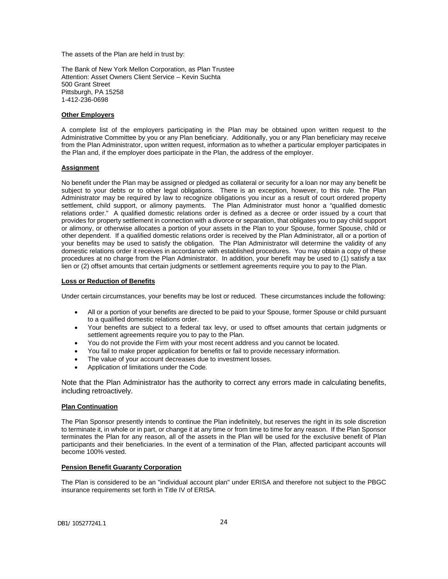The assets of the Plan are held in trust by:

The Bank of New York Mellon Corporation, as Plan Trustee Attention: Asset Owners Client Service – Kevin Suchta 500 Grant Street Pittsburgh, PA 15258 1-412-236-0698

## **Other Employers**

A complete list of the employers participating in the Plan may be obtained upon written request to the Administrative Committee by you or any Plan beneficiary. Additionally, you or any Plan beneficiary may receive from the Plan Administrator, upon written request, information as to whether a particular employer participates in the Plan and, if the employer does participate in the Plan, the address of the employer.

## **Assignment**

No benefit under the Plan may be assigned or pledged as collateral or security for a loan nor may any benefit be subject to your debts or to other legal obligations. There is an exception, however, to this rule. The Plan Administrator may be required by law to recognize obligations you incur as a result of court ordered property settlement, child support, or alimony payments. The Plan Administrator must honor a "qualified domestic relations order." A qualified domestic relations order is defined as a decree or order issued by a court that provides for property settlement in connection with a divorce or separation, that obligates you to pay child support or alimony, or otherwise allocates a portion of your assets in the Plan to your Spouse, former Spouse, child or other dependent. If a qualified domestic relations order is received by the Plan Administrator, all or a portion of your benefits may be used to satisfy the obligation. The Plan Administrator will determine the validity of any domestic relations order it receives in accordance with established procedures. You may obtain a copy of these procedures at no charge from the Plan Administrator. In addition, your benefit may be used to (1) satisfy a tax lien or (2) offset amounts that certain judgments or settlement agreements require you to pay to the Plan.

## **Loss or Reduction of Benefits**

Under certain circumstances, your benefits may be lost or reduced. These circumstances include the following:

- All or a portion of your benefits are directed to be paid to your Spouse, former Spouse or child pursuant to a qualified domestic relations order.
- Your benefits are subject to a federal tax levy, or used to offset amounts that certain judgments or settlement agreements require you to pay to the Plan.
- You do not provide the Firm with your most recent address and you cannot be located.
- You fail to make proper application for benefits or fail to provide necessary information.
- The value of your account decreases due to investment losses.
- Application of limitations under the Code.

Note that the Plan Administrator has the authority to correct any errors made in calculating benefits, including retroactively.

## **Plan Continuation**

The Plan Sponsor presently intends to continue the Plan indefinitely, but reserves the right in its sole discretion to terminate it, in whole or in part, or change it at any time or from time to time for any reason. If the Plan Sponsor terminates the Plan for any reason, all of the assets in the Plan will be used for the exclusive benefit of Plan participants and their beneficiaries. In the event of a termination of the Plan, affected participant accounts will become 100% vested.

## **Pension Benefit Guaranty Corporation**

The Plan is considered to be an "individual account plan" under ERISA and therefore not subject to the PBGC insurance requirements set forth in Title IV of ERISA.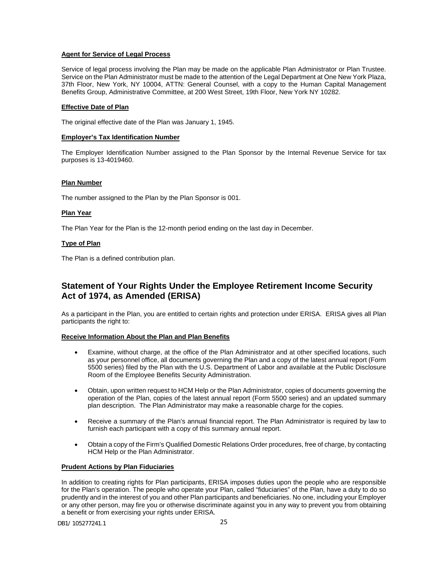## **Agent for Service of Legal Process**

Service of legal process involving the Plan may be made on the applicable Plan Administrator or Plan Trustee. Service on the Plan Administrator must be made to the attention of the Legal Department at One New York Plaza, 37th Floor, New York, NY 10004, ATTN: General Counsel, with a copy to the Human Capital Management Benefits Group, Administrative Committee, at 200 West Street, 19th Floor, New York NY 10282.

## **Effective Date of Plan**

The original effective date of the Plan was January 1, 1945.

## **Employer's Tax Identification Number**

The Employer Identification Number assigned to the Plan Sponsor by the Internal Revenue Service for tax purposes is 13-4019460.

## **Plan Number**

The number assigned to the Plan by the Plan Sponsor is 001.

## **Plan Year**

The Plan Year for the Plan is the 12-month period ending on the last day in December.

## **Type of Plan**

The Plan is a defined contribution plan.

# <span id="page-26-0"></span>**Statement of Your Rights Under the Employee Retirement Income Security Act of 1974, as Amended (ERISA)**

As a participant in the Plan, you are entitled to certain rights and protection under ERISA. ERISA gives all Plan participants the right to:

## **Receive Information About the Plan and Plan Benefits**

- Examine, without charge, at the office of the Plan Administrator and at other specified locations, such as your personnel office, all documents governing the Plan and a copy of the latest annual report (Form 5500 series) filed by the Plan with the U.S. Department of Labor and available at the Public Disclosure Room of the Employee Benefits Security Administration.
- Obtain, upon written request to HCM Help or the Plan Administrator, copies of documents governing the operation of the Plan, copies of the latest annual report (Form 5500 series) and an updated summary plan description. The Plan Administrator may make a reasonable charge for the copies.
- Receive a summary of the Plan's annual financial report. The Plan Administrator is required by law to furnish each participant with a copy of this summary annual report.
- Obtain a copy of the Firm's Qualified Domestic Relations Order procedures, free of charge, by contacting HCM Help or the Plan Administrator.

## **Prudent Actions by Plan Fiduciaries**

In addition to creating rights for Plan participants, ERISA imposes duties upon the people who are responsible for the Plan's operation. The people who operate your Plan, called "fiduciaries" of the Plan, have a duty to do so prudently and in the interest of you and other Plan participants and beneficiaries. No one, including your Employer or any other person, may fire you or otherwise discriminate against you in any way to prevent you from obtaining a benefit or from exercising your rights under ERISA.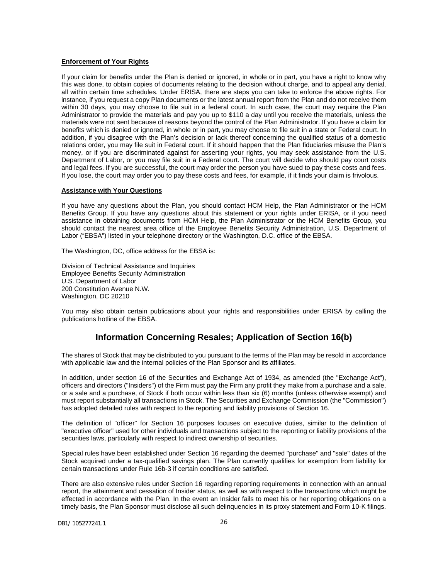#### **Enforcement of Your Rights**

If your claim for benefits under the Plan is denied or ignored, in whole or in part, you have a right to know why this was done, to obtain copies of documents relating to the decision without charge, and to appeal any denial, all within certain time schedules. Under ERISA, there are steps you can take to enforce the above rights. For instance, if you request a copy Plan documents or the latest annual report from the Plan and do not receive them within 30 days, you may choose to file suit in a federal court. In such case, the court may require the Plan Administrator to provide the materials and pay you up to \$110 a day until you receive the materials, unless the materials were not sent because of reasons beyond the control of the Plan Administrator. If you have a claim for benefits which is denied or ignored, in whole or in part, you may choose to file suit in a state or Federal court. In addition, if you disagree with the Plan's decision or lack thereof concerning the qualified status of a domestic relations order, you may file suit in Federal court. If it should happen that the Plan fiduciaries misuse the Plan's money, or if you are discriminated against for asserting your rights, you may seek assistance from the U.S. Department of Labor, or you may file suit in a Federal court. The court will decide who should pay court costs and legal fees. If you are successful, the court may order the person you have sued to pay these costs and fees. If you lose, the court may order you to pay these costs and fees, for example, if it finds your claim is frivolous.

## **Assistance with Your Questions**

If you have any questions about the Plan, you should contact HCM Help, the Plan Administrator or the HCM Benefits Group. If you have any questions about this statement or your rights under ERISA, or if you need assistance in obtaining documents from HCM Help, the Plan Administrator or the HCM Benefits Group, you should contact the nearest area office of the Employee Benefits Security Administration, U.S. Department of Labor ("EBSA") listed in your telephone directory or the Washington, D.C. office of the EBSA.

The Washington, DC, office address for the EBSA is:

Division of Technical Assistance and Inquiries Employee Benefits Security Administration U.S. Department of Labor 200 Constitution Avenue N.W. Washington, DC 20210

You may also obtain certain publications about your rights and responsibilities under ERISA by calling the publications hotline of the EBSA.

## **Information Concerning Resales; Application of Section 16(b)**

<span id="page-27-0"></span>The shares of Stock that may be distributed to you pursuant to the terms of the Plan may be resold in accordance with applicable law and the internal policies of the Plan Sponsor and its affiliates.

In addition, under section 16 of the Securities and Exchange Act of 1934, as amended (the "Exchange Act"), officers and directors ("Insiders") of the Firm must pay the Firm any profit they make from a purchase and a sale, or a sale and a purchase, of Stock if both occur within less than six (6) months (unless otherwise exempt) and must report substantially all transactions in Stock. The Securities and Exchange Commission (the "Commission") has adopted detailed rules with respect to the reporting and liability provisions of Section 16.

The definition of "officer" for Section 16 purposes focuses on executive duties, similar to the definition of "executive officer" used for other individuals and transactions subject to the reporting or liability provisions of the securities laws, particularly with respect to indirect ownership of securities.

Special rules have been established under Section 16 regarding the deemed "purchase" and "sale" dates of the Stock acquired under a tax-qualified savings plan. The Plan currently qualifies for exemption from liability for certain transactions under Rule 16b-3 if certain conditions are satisfied.

There are also extensive rules under Section 16 regarding reporting requirements in connection with an annual report, the attainment and cessation of Insider status, as well as with respect to the transactions which might be effected in accordance with the Plan. In the event an Insider fails to meet his or her reporting obligations on a timely basis, the Plan Sponsor must disclose all such delinquencies in its proxy statement and Form 10-K filings.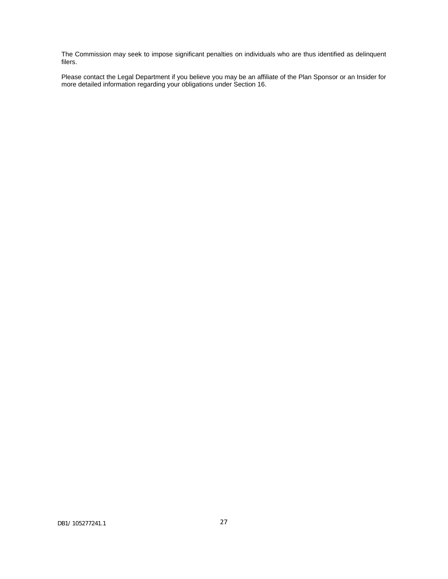The Commission may seek to impose significant penalties on individuals who are thus identified as delinquent filers.

Please contact the Legal Department if you believe you may be an affiliate of the Plan Sponsor or an Insider for more detailed information regarding your obligations under Section 16.